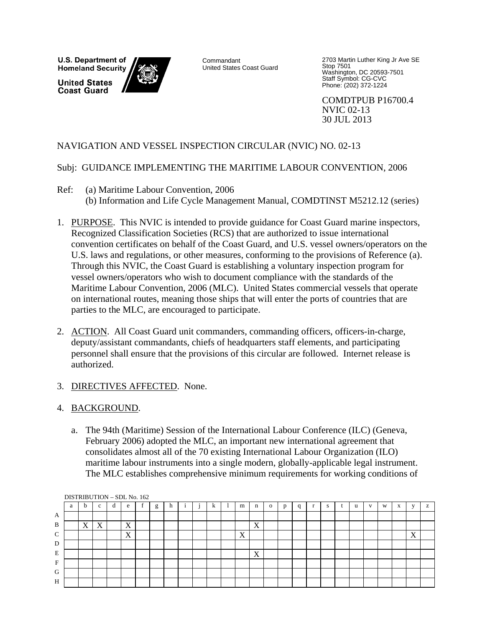U.S. Department of **Homeland Security United States Coast Guard** 



Commandant United States Coast Guard 2703 Martin Luther King Jr Ave SE Stop 7501 Washington, DC 20593-7501 Staff Symbol: CG-CVC Phone: (202) 372-1224

COMDTPUB P16700.4 NVIC 02-13 30 JUL 2013

## NAVIGATION AND VESSEL INSPECTION CIRCULAR (NVIC) NO. 02-13

## Subj: GUIDANCE IMPLEMENTING THE MARITIME LABOUR CONVENTION, 2006

- Ref: (a) Maritime Labour Convention, 2006 (b) Information and Life Cycle Management Manual, COMDTINST M5212.12 (series)
- 1. PURPOSE. This NVIC is intended to provide guidance for Coast Guard marine inspectors, Recognized Classification Societies (RCS) that are authorized to issue international convention certificates on behalf of the Coast Guard, and U.S. vessel owners/operators on the U.S. laws and regulations, or other measures, conforming to the provisions of Reference (a). Through this NVIC, the Coast Guard is establishing a voluntary inspection program for vessel owners/operators who wish to document compliance with the standards of the Maritime Labour Convention, 2006 (MLC). United States commercial vessels that operate on international routes, meaning those ships that will enter the ports of countries that are parties to the MLC, are encouraged to participate.
- 2. ACTION. All Coast Guard unit commanders, commanding officers, officers-in-charge, deputy/assistant commandants, chiefs of headquarters staff elements, and participating personnel shall ensure that the provisions of this circular are followed. Internet release is authorized.
- 3. DIRECTIVES AFFECTED. None.
- 4. BACKGROUND.
	- a. The 94th (Maritime) Session of the International Labour Conference (ILC) (Geneva, February 2006) adopted the MLC, an important new international agreement that consolidates almost all of the 70 existing International Labour Organization (ILO) maritime labour instruments into a single modern, globally-applicable legal instrument. The MLC establishes comprehensive minimum requirements for working conditions of

|               | DISTRIBUTION - SDL No. 162 |    |                                      |  |   |  |   |    |  |  |   |  |   |   |              |   |   |    |   |           |   |   |    |   |
|---------------|----------------------------|----|--------------------------------------|--|---|--|---|----|--|--|---|--|---|---|--------------|---|---|----|---|-----------|---|---|----|---|
|               | a                          | b. | $\sim$                               |  | e |  | g | 11 |  |  | A |  | m | n | $\mathbf{O}$ | n | q | ъ. | u | <b>TT</b> | W | A | 31 | z |
| A             |                            |    |                                      |  |   |  |   |    |  |  |   |  |   |   |              |   |   |    |   |           |   |   |    |   |
| B             |                            | X  | $\overline{\mathbf{x}}$<br>$\Lambda$ |  | X |  |   |    |  |  |   |  |   | X |              |   |   |    |   |           |   |   |    |   |
| $\mathcal{C}$ |                            |    |                                      |  | X |  |   |    |  |  |   |  | X |   |              |   |   |    |   |           |   |   | X  |   |
| D             |                            |    |                                      |  |   |  |   |    |  |  |   |  |   |   |              |   |   |    |   |           |   |   |    |   |
| E             |                            |    |                                      |  |   |  |   |    |  |  |   |  |   | X |              |   |   |    |   |           |   |   |    |   |
| $\mathbf{F}$  |                            |    |                                      |  |   |  |   |    |  |  |   |  |   |   |              |   |   |    |   |           |   |   |    |   |
| G             |                            |    |                                      |  |   |  |   |    |  |  |   |  |   |   |              |   |   |    |   |           |   |   |    |   |
| H             |                            |    |                                      |  |   |  |   |    |  |  |   |  |   |   |              |   |   |    |   |           |   |   |    |   |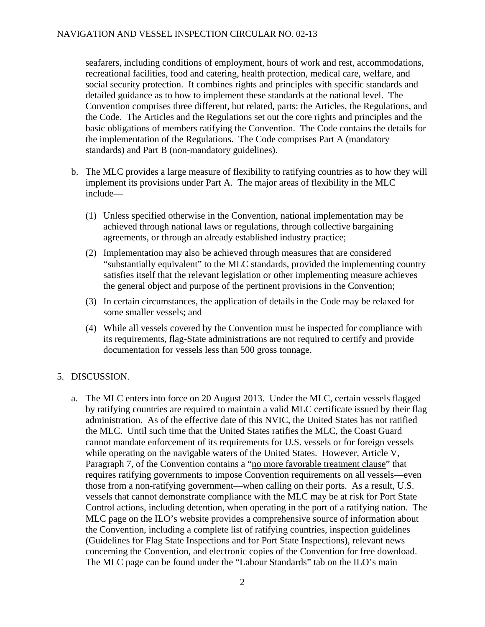seafarers, including conditions of employment, hours of work and rest, accommodations, recreational facilities, food and catering, health protection, medical care, welfare, and social security protection. It combines rights and principles with specific standards and detailed guidance as to how to implement these standards at the national level. The Convention comprises three different, but related, parts: the Articles, the Regulations, and the Code. The Articles and the Regulations set out the core rights and principles and the basic obligations of members ratifying the Convention. The Code contains the details for the implementation of the Regulations. The Code comprises Part A (mandatory standards) and Part B (non-mandatory guidelines).

- b. The MLC provides a large measure of flexibility to ratifying countries as to how they will implement its provisions under Part A. The major areas of flexibility in the MLC include—
	- (1) Unless specified otherwise in the Convention, national implementation may be achieved through national laws or regulations, through collective bargaining agreements, or through an already established industry practice;
	- (2) Implementation may also be achieved through measures that are considered "substantially equivalent" to the MLC standards, provided the implementing country satisfies itself that the relevant legislation or other implementing measure achieves the general object and purpose of the pertinent provisions in the Convention;
	- (3) In certain circumstances, the application of details in the Code may be relaxed for some smaller vessels; and
	- (4) While all vessels covered by the Convention must be inspected for compliance with its requirements, flag-State administrations are not required to certify and provide documentation for vessels less than 500 gross tonnage.

## 5. DISCUSSION.

a. The MLC enters into force on 20 August 2013. Under the MLC, certain vessels flagged by ratifying countries are required to maintain a valid MLC certificate issued by their flag administration. As of the effective date of this NVIC, the United States has not ratified the MLC. Until such time that the United States ratifies the MLC, the Coast Guard cannot mandate enforcement of its requirements for U.S. vessels or for foreign vessels while operating on the navigable waters of the United States. However, Article V, Paragraph 7, of the Convention contains a "no more favorable treatment clause" that requires ratifying governments to impose Convention requirements on all vessels—even those from a non-ratifying government—when calling on their ports. As a result, U.S. vessels that cannot demonstrate compliance with the MLC may be at risk for Port State Control actions, including detention, when operating in the port of a ratifying nation. The MLC page on the ILO's website provides a comprehensive source of information about the Convention, including a complete list of ratifying countries, inspection guidelines (Guidelines for Flag State Inspections and for Port State Inspections), relevant news concerning the Convention, and electronic copies of the Convention for free download. The MLC page can be found under the "Labour Standards" tab on the ILO's main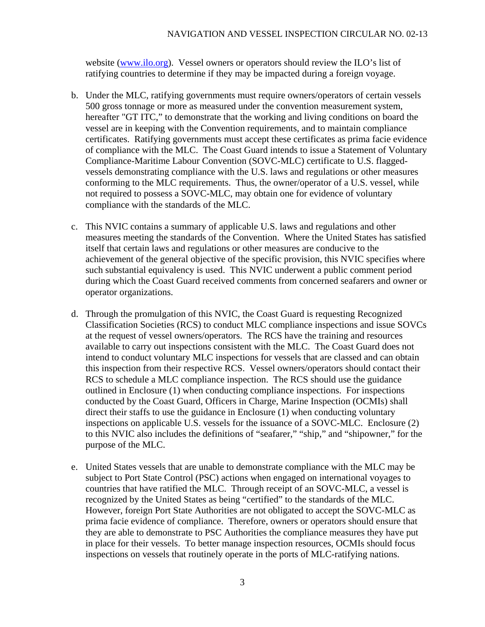website ([www.ilo.org](http://www.ilo.org/)). Vessel owners or operators should review the ILO's list of ratifying countries to determine if they may be impacted during a foreign voyage.

- b. Under the MLC, ratifying governments must require owners/operators of certain vessels 500 gross tonnage or more as measured under the convention measurement system, hereafter "GT ITC," to demonstrate that the working and living conditions on board the vessel are in keeping with the Convention requirements, and to maintain compliance certificates. Ratifying governments must accept these certificates as prima facie evidence of compliance with the MLC. The Coast Guard intends to issue a Statement of Voluntary Compliance-Maritime Labour Convention (SOVC-MLC) certificate to U.S. flaggedvessels demonstrating compliance with the U.S. laws and regulations or other measures conforming to the MLC requirements. Thus, the owner/operator of a U.S. vessel, while not required to possess a SOVC-MLC, may obtain one for evidence of voluntary compliance with the standards of the MLC.
- c. This NVIC contains a summary of applicable U.S. laws and regulations and other measures meeting the standards of the Convention. Where the United States has satisfied itself that certain laws and regulations or other measures are conducive to the achievement of the general objective of the specific provision, this NVIC specifies where such substantial equivalency is used. This NVIC underwent a public comment period during which the Coast Guard received comments from concerned seafarers and owner or operator organizations.
- d. Through the promulgation of this NVIC, the Coast Guard is requesting Recognized Classification Societies (RCS) to conduct MLC compliance inspections and issue SOVCs at the request of vessel owners/operators. The RCS have the training and resources available to carry out inspections consistent with the MLC. The Coast Guard does not intend to conduct voluntary MLC inspections for vessels that are classed and can obtain this inspection from their respective RCS. Vessel owners/operators should contact their RCS to schedule a MLC compliance inspection. The RCS should use the guidance outlined in Enclosure (1) when conducting compliance inspections. For inspections conducted by the Coast Guard, Officers in Charge, Marine Inspection (OCMIs) shall direct their staffs to use the guidance in Enclosure (1) when conducting voluntary inspections on applicable U.S. vessels for the issuance of a SOVC-MLC. Enclosure (2) to this NVIC also includes the definitions of "seafarer," "ship," and "shipowner," for the purpose of the MLC.
- e. United States vessels that are unable to demonstrate compliance with the MLC may be subject to Port State Control (PSC) actions when engaged on international voyages to countries that have ratified the MLC. Through receipt of an SOVC-MLC, a vessel is recognized by the United States as being "certified" to the standards of the MLC. However, foreign Port State Authorities are not obligated to accept the SOVC-MLC as prima facie evidence of compliance. Therefore, owners or operators should ensure that they are able to demonstrate to PSC Authorities the compliance measures they have put in place for their vessels. To better manage inspection resources, OCMIs should focus inspections on vessels that routinely operate in the ports of MLC-ratifying nations.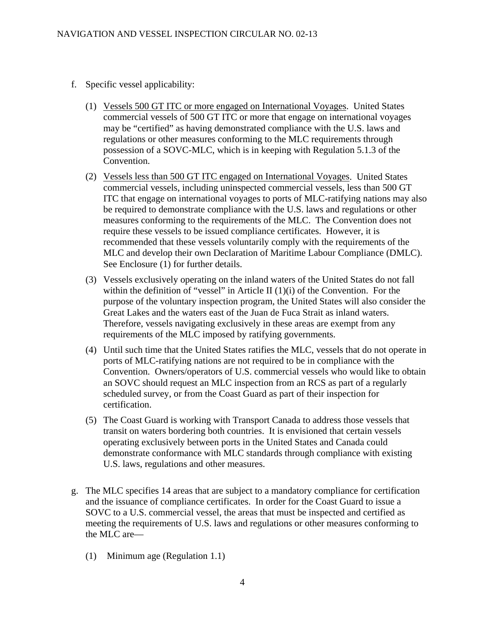- f. Specific vessel applicability:
	- (1) Vessels 500 GT ITC or more engaged on International Voyages. United States commercial vessels of 500 GT ITC or more that engage on international voyages may be "certified" as having demonstrated compliance with the U.S. laws and regulations or other measures conforming to the MLC requirements through possession of a SOVC-MLC, which is in keeping with Regulation 5.1.3 of the Convention.
	- (2) Vessels less than 500 GT ITC engaged on International Voyages. United States commercial vessels, including uninspected commercial vessels, less than 500 GT ITC that engage on international voyages to ports of MLC-ratifying nations may also be required to demonstrate compliance with the U.S. laws and regulations or other measures conforming to the requirements of the MLC. The Convention does not require these vessels to be issued compliance certificates. However, it is recommended that these vessels voluntarily comply with the requirements of the MLC and develop their own Declaration of Maritime Labour Compliance (DMLC). See Enclosure (1) for further details.
	- (3) Vessels exclusively operating on the inland waters of the United States do not fall within the definition of "vessel" in Article II  $(1)(i)$  of the Convention. For the purpose of the voluntary inspection program, the United States will also consider the Great Lakes and the waters east of the Juan de Fuca Strait as inland waters. Therefore, vessels navigating exclusively in these areas are exempt from any requirements of the MLC imposed by ratifying governments.
	- (4) Until such time that the United States ratifies the MLC, vessels that do not operate in ports of MLC-ratifying nations are not required to be in compliance with the Convention. Owners/operators of U.S. commercial vessels who would like to obtain an SOVC should request an MLC inspection from an RCS as part of a regularly scheduled survey, or from the Coast Guard as part of their inspection for certification.
	- (5) The Coast Guard is working with Transport Canada to address those vessels that transit on waters bordering both countries. It is envisioned that certain vessels operating exclusively between ports in the United States and Canada could demonstrate conformance with MLC standards through compliance with existing U.S. laws, regulations and other measures.
- g. The MLC specifies 14 areas that are subject to a mandatory compliance for certification and the issuance of compliance certificates. In order for the Coast Guard to issue a SOVC to a U.S. commercial vessel, the areas that must be inspected and certified as meeting the requirements of U.S. laws and regulations or other measures conforming to the MLC are—
	- (1) Minimum age (Regulation 1.1)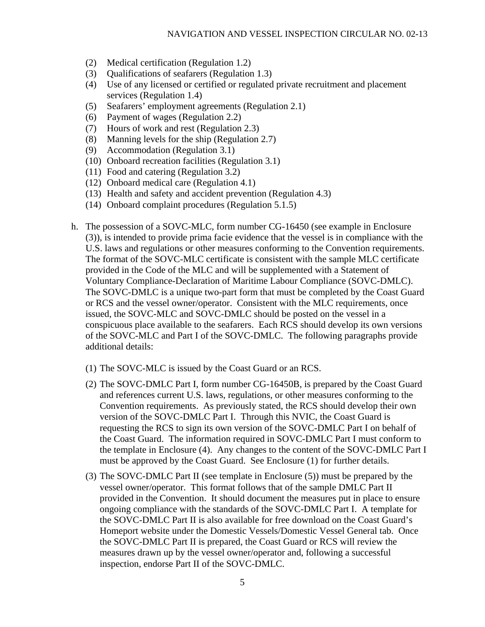- (2) Medical certification (Regulation 1.2)
- (3) Qualifications of seafarers (Regulation 1.3)
- (4) Use of any licensed or certified or regulated private recruitment and placement services (Regulation 1.4)
- (5) Seafarers' employment agreements (Regulation 2.1)
- (6) Payment of wages (Regulation 2.2)
- (7) Hours of work and rest (Regulation 2.3)
- (8) Manning levels for the ship (Regulation 2.7)
- (9) Accommodation (Regulation 3.1)
- (10) Onboard recreation facilities (Regulation 3.1)
- (11) Food and catering (Regulation 3.2)
- (12) Onboard medical care (Regulation 4.1)
- (13) Health and safety and accident prevention (Regulation 4.3)
- (14) Onboard complaint procedures (Regulation 5.1.5)
- h. The possession of a SOVC-MLC, form number CG-16450 (see example in Enclosure (3)), is intended to provide prima facie evidence that the vessel is in compliance with the U.S. laws and regulations or other measures conforming to the Convention requirements. The format of the SOVC-MLC certificate is consistent with the sample MLC certificate provided in the Code of the MLC and will be supplemented with a Statement of Voluntary Compliance-Declaration of Maritime Labour Compliance (SOVC-DMLC). The SOVC-DMLC is a unique two-part form that must be completed by the Coast Guard or RCS and the vessel owner/operator. Consistent with the MLC requirements, once issued, the SOVC-MLC and SOVC-DMLC should be posted on the vessel in a conspicuous place available to the seafarers. Each RCS should develop its own versions of the SOVC-MLC and Part I of the SOVC-DMLC. The following paragraphs provide additional details:
	- (1) The SOVC-MLC is issued by the Coast Guard or an RCS.
	- (2) The SOVC-DMLC Part I, form number CG-16450B, is prepared by the Coast Guard and references current U.S. laws, regulations, or other measures conforming to the Convention requirements. As previously stated, the RCS should develop their own version of the SOVC-DMLC Part I. Through this NVIC, the Coast Guard is requesting the RCS to sign its own version of the SOVC-DMLC Part I on behalf of the Coast Guard. The information required in SOVC-DMLC Part I must conform to the template in Enclosure (4). Any changes to the content of the SOVC-DMLC Part I must be approved by the Coast Guard. See Enclosure (1) for further details.
	- (3) The SOVC-DMLC Part II (see template in Enclosure (5)) must be prepared by the vessel owner/operator. This format follows that of the sample DMLC Part II provided in the Convention. It should document the measures put in place to ensure ongoing compliance with the standards of the SOVC-DMLC Part I. A template for the SOVC-DMLC Part II is also available for free download on the Coast Guard's Homeport website under the Domestic Vessels/Domestic Vessel General tab. Once the SOVC-DMLC Part II is prepared, the Coast Guard or RCS will review the measures drawn up by the vessel owner/operator and, following a successful inspection, endorse Part II of the SOVC-DMLC.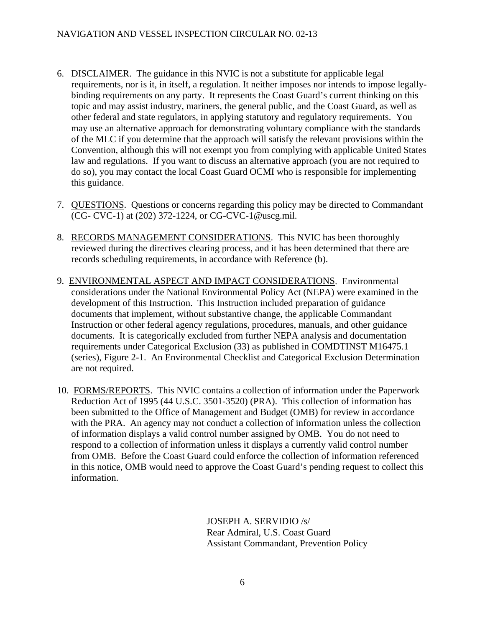- 6. DISCLAIMER. The guidance in this NVIC is not a substitute for applicable legal requirements, nor is it, in itself, a regulation. It neither imposes nor intends to impose legallybinding requirements on any party. It represents the Coast Guard's current thinking on this topic and may assist industry, mariners, the general public, and the Coast Guard, as well as other federal and state regulators, in applying statutory and regulatory requirements. You may use an alternative approach for demonstrating voluntary compliance with the standards of the MLC if you determine that the approach will satisfy the relevant provisions within the Convention, although this will not exempt you from complying with applicable United States law and regulations. If you want to discuss an alternative approach (you are not required to do so), you may contact the local Coast Guard OCMI who is responsible for implementing this guidance.
- 7. QUESTIONS. Questions or concerns regarding this policy may be directed to Commandant (CG- CVC-1) at (202) 372-1224, or CG-CVC-1@uscg.mil.
- 8. RECORDS MANAGEMENT CONSIDERATIONS. This NVIC has been thoroughly reviewed during the directives clearing process, and it has been determined that there are records scheduling requirements, in accordance with Reference (b).
- 9. ENVIRONMENTAL ASPECT AND IMPACT CONSIDERATIONS. Environmental considerations under the National Environmental Policy Act (NEPA) were examined in the development of this Instruction. This Instruction included preparation of guidance documents that implement, without substantive change, the applicable Commandant Instruction or other federal agency regulations, procedures, manuals, and other guidance documents. It is categorically excluded from further NEPA analysis and documentation requirements under Categorical Exclusion (33) as published in COMDTINST M16475.1 (series), Figure 2-1. An Environmental Checklist and Categorical Exclusion Determination are not required.
- 10. FORMS/REPORTS. This NVIC contains a collection of information under the Paperwork Reduction Act of 1995 (44 U.S.C. 3501-3520) (PRA). This collection of information has been submitted to the Office of Management and Budget (OMB) for review in accordance with the PRA. An agency may not conduct a collection of information unless the collection of information displays a valid control number assigned by OMB. You do not need to respond to a collection of information unless it displays a currently valid control number from OMB. Before the Coast Guard could enforce the collection of information referenced in this notice, OMB would need to approve the Coast Guard's pending request to collect this information.

JOSEPH A. SERVIDIO /s/ Rear Admiral, U.S. Coast Guard Assistant Commandant, Prevention Policy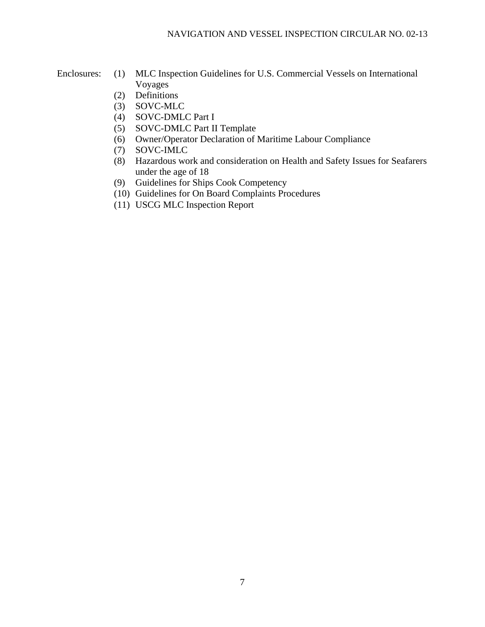- Enclosures: (1) MLC Inspection Guidelines for U.S. Commercial Vessels on International Voyages
	- (2) Definitions
	- (3) SOVC-MLC
	- (4) SOVC-DMLC Part I
	- (5) SOVC-DMLC Part II Template
	- (6) Owner/Operator Declaration of Maritime Labour Compliance
	- (7) SOVC-IMLC
	- (8) Hazardous work and consideration on Health and Safety Issues for Seafarers under the age of 18
	- (9) Guidelines for Ships Cook Competency
	- (10) Guidelines for On Board Complaints Procedures
	- (11) USCG MLC Inspection Report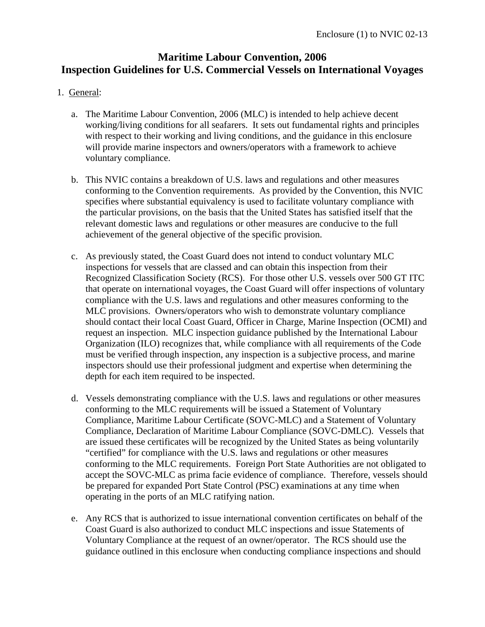# **Maritime Labour Convention, 2006 Inspection Guidelines for U.S. Commercial Vessels on International Voyages**

- 1. General:
	- a. The Maritime Labour Convention, 2006 (MLC) is intended to help achieve decent working/living conditions for all seafarers. It sets out fundamental rights and principles with respect to their working and living conditions, and the guidance in this enclosure will provide marine inspectors and owners/operators with a framework to achieve voluntary compliance.
	- b. This NVIC contains a breakdown of U.S. laws and regulations and other measures conforming to the Convention requirements. As provided by the Convention, this NVIC specifies where substantial equivalency is used to facilitate voluntary compliance with the particular provisions, on the basis that the United States has satisfied itself that the relevant domestic laws and regulations or other measures are conducive to the full achievement of the general objective of the specific provision.
	- c. As previously stated, the Coast Guard does not intend to conduct voluntary MLC inspections for vessels that are classed and can obtain this inspection from their Recognized Classification Society (RCS). For those other U.S. vessels over 500 GT ITC that operate on international voyages, the Coast Guard will offer inspections of voluntary compliance with the U.S. laws and regulations and other measures conforming to the MLC provisions. Owners/operators who wish to demonstrate voluntary compliance should contact their local Coast Guard, Officer in Charge, Marine Inspection (OCMI) and request an inspection. MLC inspection guidance published by the International Labour Organization (ILO) recognizes that, while compliance with all requirements of the Code must be verified through inspection, any inspection is a subjective process, and marine inspectors should use their professional judgment and expertise when determining the depth for each item required to be inspected.
	- d. Vessels demonstrating compliance with the U.S. laws and regulations or other measures conforming to the MLC requirements will be issued a Statement of Voluntary Compliance, Maritime Labour Certificate (SOVC-MLC) and a Statement of Voluntary Compliance, Declaration of Maritime Labour Compliance (SOVC-DMLC). Vessels that are issued these certificates will be recognized by the United States as being voluntarily "certified" for compliance with the U.S. laws and regulations or other measures conforming to the MLC requirements. Foreign Port State Authorities are not obligated to accept the SOVC-MLC as prima facie evidence of compliance. Therefore, vessels should be prepared for expanded Port State Control (PSC) examinations at any time when operating in the ports of an MLC ratifying nation.
	- e. Any RCS that is authorized to issue international convention certificates on behalf of the Coast Guard is also authorized to conduct MLC inspections and issue Statements of Voluntary Compliance at the request of an owner/operator. The RCS should use the guidance outlined in this enclosure when conducting compliance inspections and should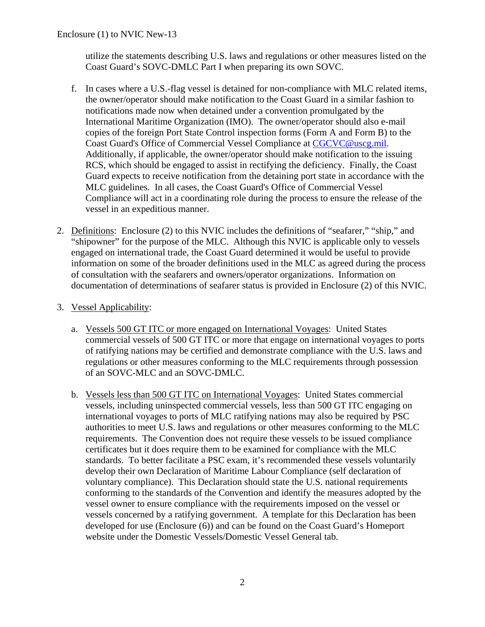utilize the statements describing U.S. laws and regulations or other measures listed on the Coast Guard's SOVC-DMLC Part I when preparing its own SOVC.

- f. In cases where a U.S.-flag vessel is detained for non-compliance with MLC related items, the owner/operator should make notification to the Coast Guard in a similar fashion to notifications made now when detained under a convention promulgated by the International Maritime Organization (IMO). The owner/operator should also e-mail copies of the foreign Port State Control inspection forms (Form A and Form B) to the Coast Guard's Office of Commercial Vessel Compliance at [CGCVC@uscg.mil](mailto:CGCVC@uscg.mil). Additionally, if applicable, the owner/operator should make notification to the issuing RCS, which should be engaged to assist in rectifying the deficiency. Finally, the Coast Guard expects to receive notification from the detaining port state in accordance with the MLC guidelines. In all cases, the Coast Guard's Office of Commercial Vessel Compliance will act in a coordinating role during the process to ensure the release of the vessel in an expeditious manner.
- 2. Definitions: Enclosure (2) to this NVIC includes the definitions of "seafarer," "ship," and "shipowner" for the purpose of the MLC. Although this NVIC is applicable only to vessels engaged on international trade, the Coast Guard determined it would be useful to provide information on some of the broader definitions used in the MLC as agreed during the process of consultation with the seafarers and owners/operator organizations. Information on documentation of determinations of seafarer status is provided in Enclosure (2) of this NVIC.

## 3. Vessel Applicability:

- a. Vessels 500 GT ITC or more engaged on International Voyages: United States commercial vessels of 500 GT ITC or more that engage on international voyages to ports of ratifying nations may be certified and demonstrate compliance with the U.S. laws and regulations or other measures conforming to the MLC requirements through possession of an SOVC-MLC and an SOVC-DMLC.
- b. Vessels less than 500 GT ITC on International Voyages: United States commercial vessels, including uninspected commercial vessels, less than 500 GT ITC engaging on international voyages to ports of MLC ratifying nations may also be required by PSC authorities to meet U.S. laws and regulations or other measures conforming to the MLC requirements. The Convention does not require these vessels to be issued compliance certificates but it does require them to be examined for compliance with the MLC standards. To better facilitate a PSC exam, it's recommended these vessels voluntarily develop their own Declaration of Maritime Labour Compliance (self declaration of voluntary compliance). This Declaration should state the U.S. national requirements conforming to the standards of the Convention and identify the measures adopted by the vessel owner to ensure compliance with the requirements imposed on the vessel or vessels concerned by a ratifying government. A template for this Declaration has been developed for use (Enclosure (6)) and can be found on the Coast Guard's Homeport website under the Domestic Vessels/Domestic Vessel General tab.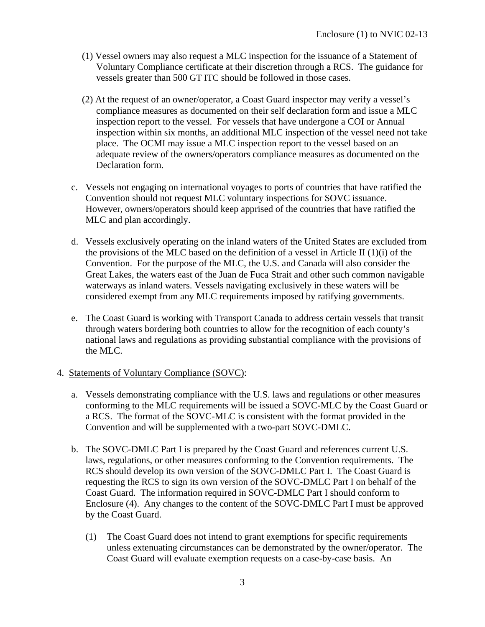- (1) Vessel owners may also request a MLC inspection for the issuance of a Statement of Voluntary Compliance certificate at their discretion through a RCS. The guidance for vessels greater than 500 GT ITC should be followed in those cases.
- (2) At the request of an owner/operator, a Coast Guard inspector may verify a vessel's compliance measures as documented on their self declaration form and issue a MLC inspection report to the vessel. For vessels that have undergone a COI or Annual inspection within six months, an additional MLC inspection of the vessel need not take place. The OCMI may issue a MLC inspection report to the vessel based on an adequate review of the owners/operators compliance measures as documented on the Declaration form.
- c. Vessels not engaging on international voyages to ports of countries that have ratified the Convention should not request MLC voluntary inspections for SOVC issuance. However, owners/operators should keep apprised of the countries that have ratified the MLC and plan accordingly.
- d. Vessels exclusively operating on the inland waters of the United States are excluded from the provisions of the MLC based on the definition of a vessel in Article II (1)(i) of the Convention. For the purpose of the MLC, the U.S. and Canada will also consider the Great Lakes, the waters east of the Juan de Fuca Strait and other such common navigable waterways as inland waters. Vessels navigating exclusively in these waters will be considered exempt from any MLC requirements imposed by ratifying governments.
- e. The Coast Guard is working with Transport Canada to address certain vessels that transit through waters bordering both countries to allow for the recognition of each county's national laws and regulations as providing substantial compliance with the provisions of the MLC.

### 4. Statements of Voluntary Compliance (SOVC):

- a. Vessels demonstrating compliance with the U.S. laws and regulations or other measures conforming to the MLC requirements will be issued a SOVC-MLC by the Coast Guard or a RCS. The format of the SOVC-MLC is consistent with the format provided in the Convention and will be supplemented with a two-part SOVC-DMLC.
- b. The SOVC-DMLC Part I is prepared by the Coast Guard and references current U.S. laws, regulations, or other measures conforming to the Convention requirements. The RCS should develop its own version of the SOVC-DMLC Part I. The Coast Guard is requesting the RCS to sign its own version of the SOVC-DMLC Part I on behalf of the Coast Guard. The information required in SOVC-DMLC Part I should conform to Enclosure (4). Any changes to the content of the SOVC-DMLC Part I must be approved by the Coast Guard.
	- (1) The Coast Guard does not intend to grant exemptions for specific requirements unless extenuating circumstances can be demonstrated by the owner/operator. The Coast Guard will evaluate exemption requests on a case-by-case basis. An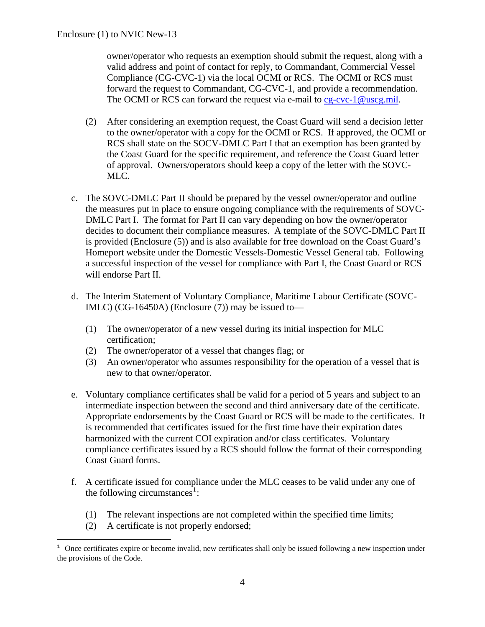owner/operator who requests an exemption should submit the request, along with a valid address and point of contact for reply, to Commandant, Commercial Vessel Compliance (CG-CVC-1) via the local OCMI or RCS. The OCMI or RCS must forward the request to Commandant, CG-CVC-1, and provide a recommendation. The OCMI or RCS can forward the request via e-mail to [cg-cvc-1@uscg.mil](mailto:cg-cvc-1@uscg.mil).

- (2) After considering an exemption request, the Coast Guard will send a decision letter to the owner/operator with a copy for the OCMI or RCS. If approved, the OCMI or RCS shall state on the SOCV-DMLC Part I that an exemption has been granted by the Coast Guard for the specific requirement, and reference the Coast Guard letter of approval. Owners/operators should keep a copy of the letter with the SOVC-MLC.
- c. The SOVC-DMLC Part II should be prepared by the vessel owner/operator and outline the measures put in place to ensure ongoing compliance with the requirements of SOVC-DMLC Part I. The format for Part II can vary depending on how the owner/operator decides to document their compliance measures. A template of the SOVC-DMLC Part II is provided (Enclosure (5)) and is also available for free download on the Coast Guard's Homeport website under the Domestic Vessels-Domestic Vessel General tab. Following a successful inspection of the vessel for compliance with Part I, the Coast Guard or RCS will endorse Part II.
- d. The Interim Statement of Voluntary Compliance, Maritime Labour Certificate (SOVC-IMLC) (CG-16450A) (Enclosure (7)) may be issued to—
	- (1) The owner/operator of a new vessel during its initial inspection for MLC certification;
	- (2) The owner/operator of a vessel that changes flag; or
	- (3) An owner/operator who assumes responsibility for the operation of a vessel that is new to that owner/operator.
- e. Voluntary compliance certificates shall be valid for a period of 5 years and subject to an intermediate inspection between the second and third anniversary date of the certificate. Appropriate endorsements by the Coast Guard or RCS will be made to the certificates. It is recommended that certificates issued for the first time have their expiration dates harmonized with the current COI expiration and/or class certificates. Voluntary compliance certificates issued by a RCS should follow the format of their corresponding Coast Guard forms.
- f. A certificate issued for compliance under the MLC ceases to be valid under any one of the following circumstances<sup>[1](#page-10-0)</sup>:
	- (1) The relevant inspections are not completed within the specified time limits;
	- (2) A certificate is not properly endorsed;

1

<span id="page-10-0"></span><sup>1</sup> Once certificates expire or become invalid, new certificates shall only be issued following a new inspection under the provisions of the Code.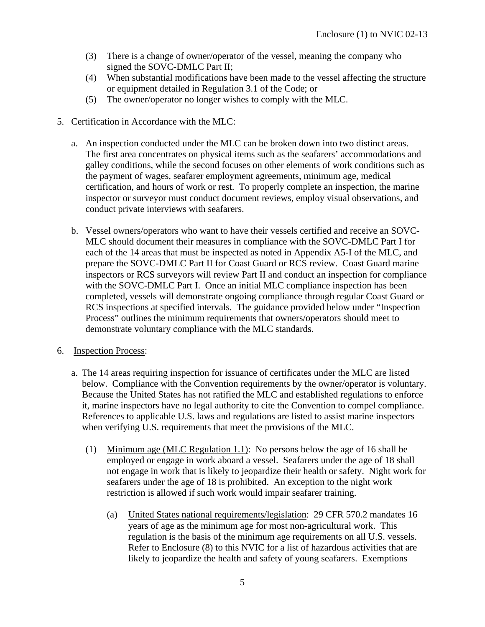- (3) There is a change of owner/operator of the vessel, meaning the company who signed the SOVC-DMLC Part II;
- (4) When substantial modifications have been made to the vessel affecting the structure or equipment detailed in Regulation 3.1 of the Code; or
- (5) The owner/operator no longer wishes to comply with the MLC.
- 5. Certification in Accordance with the MLC:
	- a. An inspection conducted under the MLC can be broken down into two distinct areas. The first area concentrates on physical items such as the seafarers' accommodations and galley conditions, while the second focuses on other elements of work conditions such as the payment of wages, seafarer employment agreements, minimum age, medical certification, and hours of work or rest. To properly complete an inspection, the marine inspector or surveyor must conduct document reviews, employ visual observations, and conduct private interviews with seafarers.
	- b. Vessel owners/operators who want to have their vessels certified and receive an SOVC-MLC should document their measures in compliance with the SOVC-DMLC Part I for each of the 14 areas that must be inspected as noted in Appendix A5-I of the MLC, and prepare the SOVC-DMLC Part II for Coast Guard or RCS review. Coast Guard marine inspectors or RCS surveyors will review Part II and conduct an inspection for compliance with the SOVC-DMLC Part I. Once an initial MLC compliance inspection has been completed, vessels will demonstrate ongoing compliance through regular Coast Guard or RCS inspections at specified intervals. The guidance provided below under "Inspection Process" outlines the minimum requirements that owners/operators should meet to demonstrate voluntary compliance with the MLC standards.
- 6. Inspection Process:
	- a. The 14 areas requiring inspection for issuance of certificates under the MLC are listed below. Compliance with the Convention requirements by the owner/operator is voluntary. Because the United States has not ratified the MLC and established regulations to enforce it, marine inspectors have no legal authority to cite the Convention to compel compliance. References to applicable U.S. laws and regulations are listed to assist marine inspectors when verifying U.S. requirements that meet the provisions of the MLC.
		- (1) Minimum age (MLC Regulation 1.1): No persons below the age of 16 shall be employed or engage in work aboard a vessel. Seafarers under the age of 18 shall not engage in work that is likely to jeopardize their health or safety. Night work for seafarers under the age of 18 is prohibited. An exception to the night work restriction is allowed if such work would impair seafarer training.
			- (a) United States national requirements/legislation: 29 CFR 570.2 mandates 16 years of age as the minimum age for most non-agricultural work. This regulation is the basis of the minimum age requirements on all U.S. vessels. Refer to Enclosure (8) to this NVIC for a list of hazardous activities that are likely to jeopardize the health and safety of young seafarers. Exemptions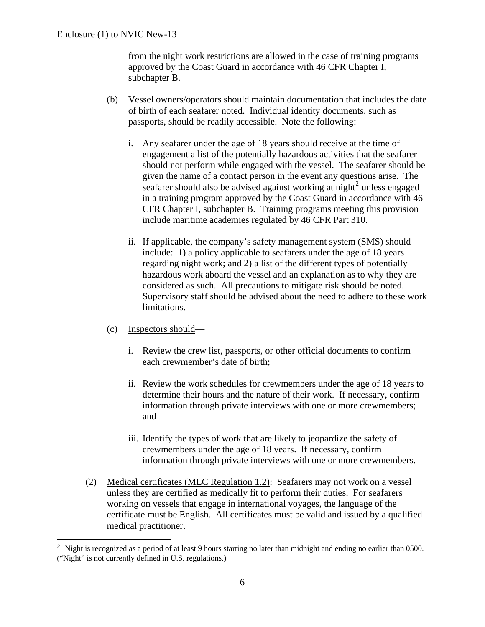from the night work restrictions are allowed in the case of training programs approved by the Coast Guard in accordance with 46 CFR Chapter I, subchapter B.

- (b) Vessel owners/operators should maintain documentation that includes the date of birth of each seafarer noted. Individual identity documents, such as passports, should be readily accessible. Note the following:
	- i. Any seafarer under the age of 18 years should receive at the time of engagement a list of the potentially hazardous activities that the seafarer should not perform while engaged with the vessel. The seafarer should be given the name of a contact person in the event any questions arise. The seafarer should also be advised against working at night<sup>[2](#page-12-0)</sup> unless engaged in a training program approved by the Coast Guard in accordance with 46 CFR Chapter I, subchapter B. Training programs meeting this provision include maritime academies regulated by 46 CFR Part 310.
	- ii. If applicable, the company's safety management system (SMS) should include: 1) a policy applicable to seafarers under the age of 18 years regarding night work; and 2) a list of the different types of potentially hazardous work aboard the vessel and an explanation as to why they are considered as such. All precautions to mitigate risk should be noted. Supervisory staff should be advised about the need to adhere to these work limitations.
- (c) Inspectors should—

 $\overline{a}$ 

- i. Review the crew list, passports, or other official documents to confirm each crewmember's date of birth;
- ii. Review the work schedules for crewmembers under the age of 18 years to determine their hours and the nature of their work. If necessary, confirm information through private interviews with one or more crewmembers; and
- iii. Identify the types of work that are likely to jeopardize the safety of crewmembers under the age of 18 years. If necessary, confirm information through private interviews with one or more crewmembers.
- (2) Medical certificates (MLC Regulation 1.2): Seafarers may not work on a vessel unless they are certified as medically fit to perform their duties. For seafarers working on vessels that engage in international voyages, the language of the certificate must be English. All certificates must be valid and issued by a qualified medical practitioner.

<span id="page-12-0"></span><sup>2</sup> Night is recognized as a period of at least 9 hours starting no later than midnight and ending no earlier than 0500. ("Night" is not currently defined in U.S. regulations.)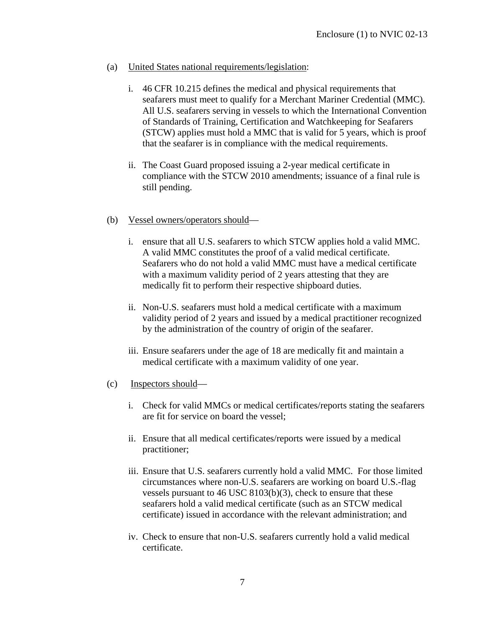- (a) United States national requirements/legislation:
	- i. 46 CFR 10.215 defines the medical and physical requirements that seafarers must meet to qualify for a Merchant Mariner Credential (MMC). All U.S. seafarers serving in vessels to which the International Convention of Standards of Training, Certification and Watchkeeping for Seafarers (STCW) applies must hold a MMC that is valid for 5 years, which is proof that the seafarer is in compliance with the medical requirements.
	- ii. The Coast Guard proposed issuing a 2-year medical certificate in compliance with the STCW 2010 amendments; issuance of a final rule is still pending.
- (b) Vessel owners/operators should
	- i. ensure that all U.S. seafarers to which STCW applies hold a valid MMC. A valid MMC constitutes the proof of a valid medical certificate. Seafarers who do not hold a valid MMC must have a medical certificate with a maximum validity period of 2 years attesting that they are medically fit to perform their respective shipboard duties.
	- ii. Non-U.S. seafarers must hold a medical certificate with a maximum validity period of 2 years and issued by a medical practitioner recognized by the administration of the country of origin of the seafarer.
	- iii. Ensure seafarers under the age of 18 are medically fit and maintain a medical certificate with a maximum validity of one year.
- (c) Inspectors should
	- i. Check for valid MMCs or medical certificates/reports stating the seafarers are fit for service on board the vessel;
	- ii. Ensure that all medical certificates/reports were issued by a medical practitioner;
	- iii. Ensure that U.S. seafarers currently hold a valid MMC. For those limited circumstances where non-U.S. seafarers are working on board U.S.-flag vessels pursuant to 46 USC 8103(b)(3), check to ensure that these seafarers hold a valid medical certificate (such as an STCW medical certificate) issued in accordance with the relevant administration; and
	- iv. Check to ensure that non-U.S. seafarers currently hold a valid medical certificate.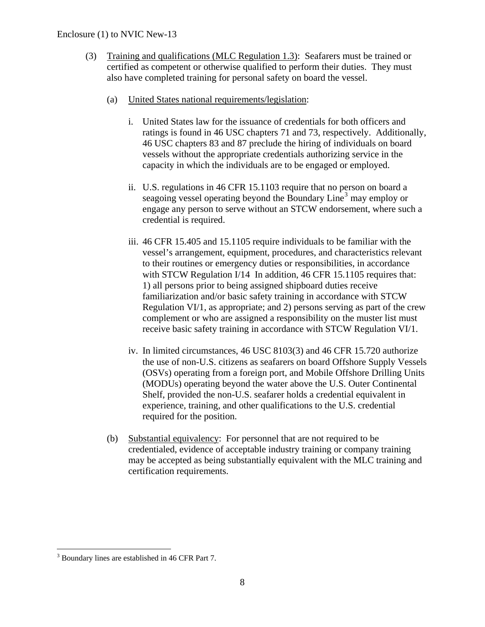### Enclosure (1) to NVIC New-13

- (3) Training and qualifications (MLC Regulation 1.3): Seafarers must be trained or certified as competent or otherwise qualified to perform their duties. They must also have completed training for personal safety on board the vessel.
	- (a) United States national requirements/legislation:
		- i. United States law for the issuance of credentials for both officers and ratings is found in 46 USC chapters 71 and 73, respectively. Additionally, 46 USC chapters 83 and 87 preclude the hiring of individuals on board vessels without the appropriate credentials authorizing service in the capacity in which the individuals are to be engaged or employed.
		- ii. U.S. regulations in 46 CFR 15.1103 require that no person on board a seagoing vessel operating beyond the Boundary Line<sup>[3](#page-14-0)</sup> may employ or engage any person to serve without an STCW endorsement, where such a credential is required.
		- iii. 46 CFR 15.405 and 15.1105 require individuals to be familiar with the vessel's arrangement, equipment, procedures, and characteristics relevant to their routines or emergency duties or responsibilities, in accordance with STCW Regulation I/14 In addition, 46 CFR 15.1105 requires that: 1) all persons prior to being assigned shipboard duties receive familiarization and/or basic safety training in accordance with STCW Regulation VI/1, as appropriate; and 2) persons serving as part of the crew complement or who are assigned a responsibility on the muster list must receive basic safety training in accordance with STCW Regulation VI/1.
		- iv. In limited circumstances, 46 USC 8103(3) and 46 CFR 15.720 authorize the use of non-U.S. citizens as seafarers on board Offshore Supply Vessels (OSVs) operating from a foreign port, and Mobile Offshore Drilling Units (MODUs) operating beyond the water above the U.S. Outer Continental Shelf, provided the non-U.S. seafarer holds a credential equivalent in experience, training, and other qualifications to the U.S. credential required for the position.
	- (b) Substantial equivalency: For personnel that are not required to be credentialed, evidence of acceptable industry training or company training may be accepted as being substantially equivalent with the MLC training and certification requirements.

<span id="page-14-0"></span><sup>&</sup>lt;sup>3</sup> Boundary lines are established in 46 CFR Part 7.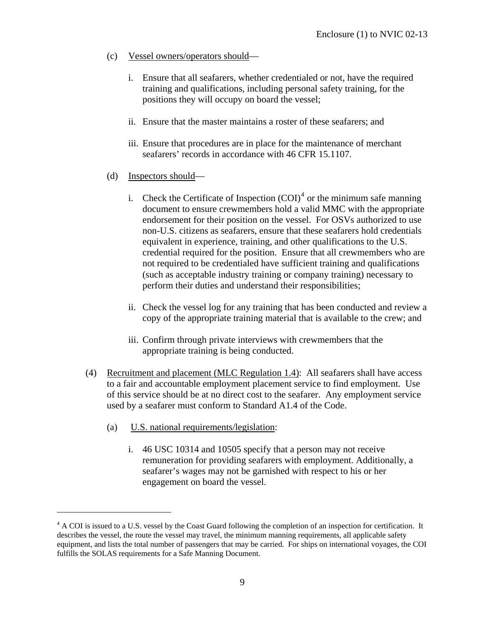- (c) Vessel owners/operators should
	- i. Ensure that all seafarers, whether credentialed or not, have the required training and qualifications, including personal safety training, for the positions they will occupy on board the vessel;
	- ii. Ensure that the master maintains a roster of these seafarers; and
	- iii. Ensure that procedures are in place for the maintenance of merchant seafarers' records in accordance with 46 CFR 15.1107.
- (d) Inspectors should
	- i. Check the Certificate of Inspection  $(COI)^4$  $(COI)^4$  or the minimum safe manning document to ensure crewmembers hold a valid MMC with the appropriate endorsement for their position on the vessel. For OSVs authorized to use non-U.S. citizens as seafarers, ensure that these seafarers hold credentials equivalent in experience, training, and other qualifications to the U.S. credential required for the position. Ensure that all crewmembers who are not required to be credentialed have sufficient training and qualifications (such as acceptable industry training or company training) necessary to perform their duties and understand their responsibilities;
	- ii. Check the vessel log for any training that has been conducted and review a copy of the appropriate training material that is available to the crew; and
	- iii. Confirm through private interviews with crewmembers that the appropriate training is being conducted.
- (4) Recruitment and placement (MLC Regulation 1.4): All seafarers shall have access to a fair and accountable employment placement service to find employment. Use of this service should be at no direct cost to the seafarer. Any employment service used by a seafarer must conform to Standard A1.4 of the Code.
	- (a) U.S. national requirements/legislation:

 $\overline{a}$ 

i. 46 USC 10314 and 10505 specify that a person may not receive remuneration for providing seafarers with employment. Additionally, a seafarer's wages may not be garnished with respect to his or her engagement on board the vessel.

<span id="page-15-0"></span><sup>&</sup>lt;sup>4</sup> A COI is issued to a U.S. vessel by the Coast Guard following the completion of an inspection for certification. It describes the vessel, the route the vessel may travel, the minimum manning requirements, all applicable safety equipment, and lists the total number of passengers that may be carried. For ships on international voyages, the COI fulfills the SOLAS requirements for a Safe Manning Document.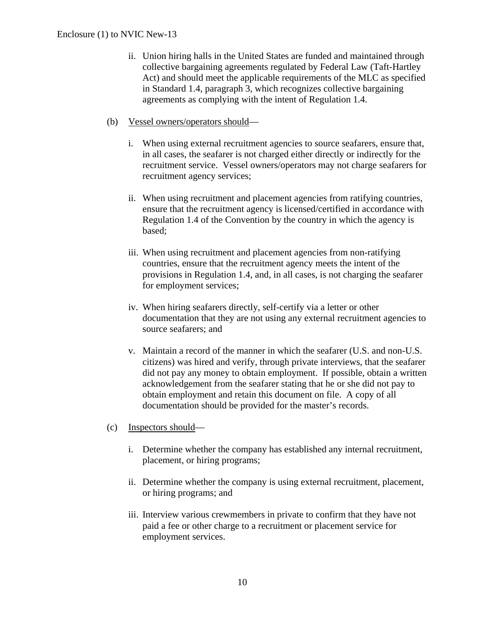- ii. Union hiring halls in the United States are funded and maintained through collective bargaining agreements regulated by Federal Law (Taft-Hartley Act) and should meet the applicable requirements of the MLC as specified in Standard 1.4, paragraph 3, which recognizes collective bargaining agreements as complying with the intent of Regulation 1.4.
- (b) Vessel owners/operators should
	- i. When using external recruitment agencies to source seafarers, ensure that, in all cases, the seafarer is not charged either directly or indirectly for the recruitment service. Vessel owners/operators may not charge seafarers for recruitment agency services;
	- ii. When using recruitment and placement agencies from ratifying countries, ensure that the recruitment agency is licensed/certified in accordance with Regulation 1.4 of the Convention by the country in which the agency is based;
	- iii. When using recruitment and placement agencies from non-ratifying countries, ensure that the recruitment agency meets the intent of the provisions in Regulation 1.4, and, in all cases, is not charging the seafarer for employment services;
	- iv. When hiring seafarers directly, self-certify via a letter or other documentation that they are not using any external recruitment agencies to source seafarers; and
	- v. Maintain a record of the manner in which the seafarer (U.S. and non-U.S. citizens) was hired and verify, through private interviews, that the seafarer did not pay any money to obtain employment. If possible, obtain a written acknowledgement from the seafarer stating that he or she did not pay to obtain employment and retain this document on file. A copy of all documentation should be provided for the master's records.
- (c) Inspectors should
	- i. Determine whether the company has established any internal recruitment, placement, or hiring programs;
	- ii. Determine whether the company is using external recruitment, placement, or hiring programs; and
	- iii. Interview various crewmembers in private to confirm that they have not paid a fee or other charge to a recruitment or placement service for employment services.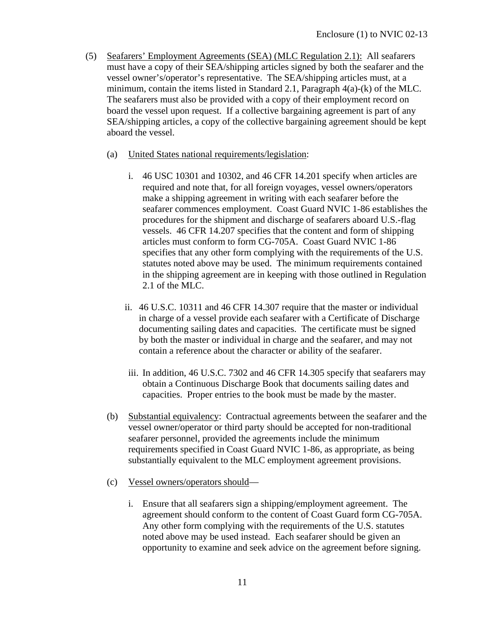- (5) Seafarers' Employment Agreements (SEA) (MLC Regulation 2.1): All seafarers must have a copy of their SEA/shipping articles signed by both the seafarer and the vessel owner's/operator's representative. The SEA/shipping articles must, at a minimum, contain the items listed in Standard 2.1, Paragraph 4(a)-(k) of the MLC. The seafarers must also be provided with a copy of their employment record on board the vessel upon request. If a collective bargaining agreement is part of any SEA/shipping articles, a copy of the collective bargaining agreement should be kept aboard the vessel.
	- (a) United States national requirements/legislation:
		- i. 46 USC 10301 and 10302, and 46 CFR 14.201 specify when articles are required and note that, for all foreign voyages, vessel owners/operators make a shipping agreement in writing with each seafarer before the seafarer commences employment. Coast Guard NVIC 1-86 establishes the procedures for the shipment and discharge of seafarers aboard U.S.-flag vessels. 46 CFR 14.207 specifies that the content and form of shipping articles must conform to form CG-705A. Coast Guard NVIC 1-86 specifies that any other form complying with the requirements of the U.S. statutes noted above may be used. The minimum requirements contained in the shipping agreement are in keeping with those outlined in Regulation 2.1 of the MLC.
		- ii. 46 U.S.C. 10311 and 46 CFR 14.307 require that the master or individual in charge of a vessel provide each seafarer with a Certificate of Discharge documenting sailing dates and capacities. The certificate must be signed by both the master or individual in charge and the seafarer, and may not contain a reference about the character or ability of the seafarer.
		- iii. In addition, 46 U.S.C. 7302 and 46 CFR 14.305 specify that seafarers may obtain a Continuous Discharge Book that documents sailing dates and capacities. Proper entries to the book must be made by the master.
	- (b) Substantial equivalency: Contractual agreements between the seafarer and the vessel owner/operator or third party should be accepted for non-traditional seafarer personnel, provided the agreements include the minimum requirements specified in Coast Guard NVIC 1-86, as appropriate, as being substantially equivalent to the MLC employment agreement provisions.
	- (c) Vessel owners/operators should
		- i. Ensure that all seafarers sign a shipping/employment agreement. The agreement should conform to the content of Coast Guard form CG-705A. Any other form complying with the requirements of the U.S. statutes noted above may be used instead. Each seafarer should be given an opportunity to examine and seek advice on the agreement before signing.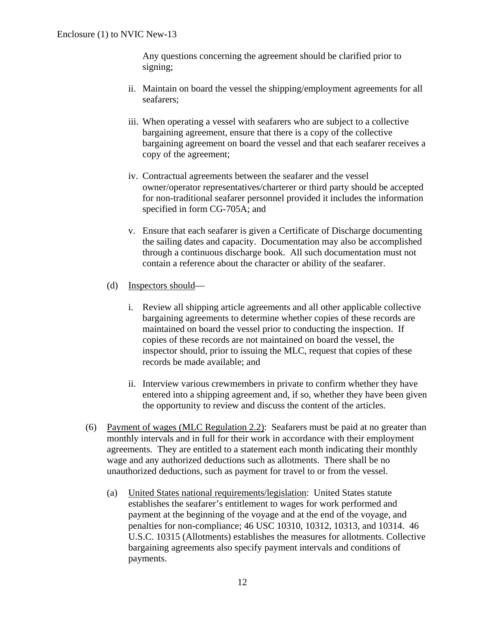Any questions concerning the agreement should be clarified prior to signing;

- ii. Maintain on board the vessel the shipping/employment agreements for all seafarers;
- iii. When operating a vessel with seafarers who are subject to a collective bargaining agreement, ensure that there is a copy of the collective bargaining agreement on board the vessel and that each seafarer receives a copy of the agreement;
- iv. Contractual agreements between the seafarer and the vessel owner/operator representatives/charterer or third party should be accepted for non-traditional seafarer personnel provided it includes the information specified in form CG-705A; and
- v. Ensure that each seafarer is given a Certificate of Discharge documenting the sailing dates and capacity. Documentation may also be accomplished through a continuous discharge book. All such documentation must not contain a reference about the character or ability of the seafarer.
- (d) Inspectors should
	- i. Review all shipping article agreements and all other applicable collective bargaining agreements to determine whether copies of these records are maintained on board the vessel prior to conducting the inspection. If copies of these records are not maintained on board the vessel, the inspector should, prior to issuing the MLC, request that copies of these records be made available; and
	- ii. Interview various crewmembers in private to confirm whether they have entered into a shipping agreement and, if so, whether they have been given the opportunity to review and discuss the content of the articles.
- (6) Payment of wages (MLC Regulation 2.2): Seafarers must be paid at no greater than monthly intervals and in full for their work in accordance with their employment agreements. They are entitled to a statement each month indicating their monthly wage and any authorized deductions such as allotments. There shall be no unauthorized deductions, such as payment for travel to or from the vessel.
	- (a) United States national requirements/legislation: United States statute establishes the seafarer's entitlement to wages for work performed and payment at the beginning of the voyage and at the end of the voyage, and penalties for non-compliance; 46 USC 10310, 10312, 10313, and 10314. 46 U.S.C. 10315 (Allotments) establishes the measures for allotments. Collective bargaining agreements also specify payment intervals and conditions of payments.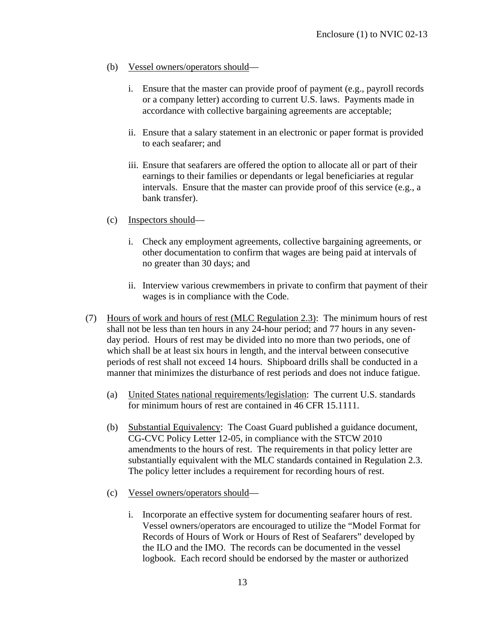- (b) Vessel owners/operators should
	- i. Ensure that the master can provide proof of payment (e.g., payroll records or a company letter) according to current U.S. laws. Payments made in accordance with collective bargaining agreements are acceptable;
	- ii. Ensure that a salary statement in an electronic or paper format is provided to each seafarer; and
	- iii. Ensure that seafarers are offered the option to allocate all or part of their earnings to their families or dependants or legal beneficiaries at regular intervals. Ensure that the master can provide proof of this service (e.g., a bank transfer).
- (c) Inspectors should
	- i. Check any employment agreements, collective bargaining agreements, or other documentation to confirm that wages are being paid at intervals of no greater than 30 days; and
	- ii. Interview various crewmembers in private to confirm that payment of their wages is in compliance with the Code.
- (7) Hours of work and hours of rest (MLC Regulation 2.3): The minimum hours of rest shall not be less than ten hours in any 24-hour period; and 77 hours in any sevenday period. Hours of rest may be divided into no more than two periods, one of which shall be at least six hours in length, and the interval between consecutive periods of rest shall not exceed 14 hours. Shipboard drills shall be conducted in a manner that minimizes the disturbance of rest periods and does not induce fatigue.
	- (a) United States national requirements/legislation: The current U.S. standards for minimum hours of rest are contained in 46 CFR 15.1111.
	- (b) Substantial Equivalency: The Coast Guard published a guidance document, CG-CVC Policy Letter 12-05, in compliance with the STCW 2010 amendments to the hours of rest. The requirements in that policy letter are substantially equivalent with the MLC standards contained in Regulation 2.3. The policy letter includes a requirement for recording hours of rest.
	- (c) Vessel owners/operators should
		- i. Incorporate an effective system for documenting seafarer hours of rest. Vessel owners/operators are encouraged to utilize the "Model Format for Records of Hours of Work or Hours of Rest of Seafarers" developed by the ILO and the IMO. The records can be documented in the vessel logbook. Each record should be endorsed by the master or authorized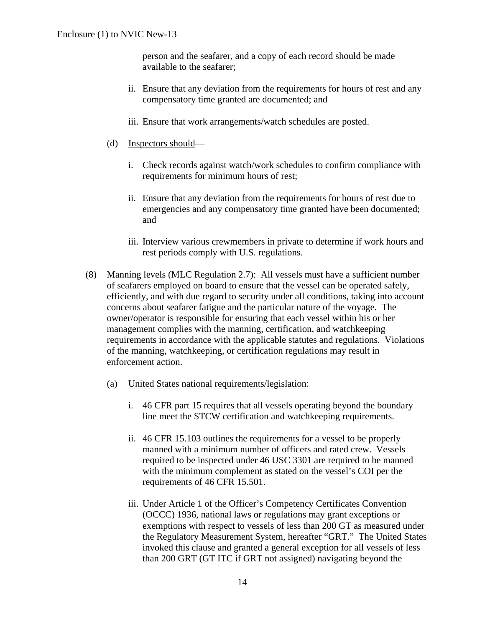person and the seafarer, and a copy of each record should be made available to the seafarer;

- ii. Ensure that any deviation from the requirements for hours of rest and any compensatory time granted are documented; and
- iii. Ensure that work arrangements/watch schedules are posted.
- (d) Inspectors should
	- i. Check records against watch/work schedules to confirm compliance with requirements for minimum hours of rest;
	- ii. Ensure that any deviation from the requirements for hours of rest due to emergencies and any compensatory time granted have been documented; and
	- iii. Interview various crewmembers in private to determine if work hours and rest periods comply with U.S. regulations.
- (8) Manning levels (MLC Regulation 2.7): All vessels must have a sufficient number of seafarers employed on board to ensure that the vessel can be operated safely, efficiently, and with due regard to security under all conditions, taking into account concerns about seafarer fatigue and the particular nature of the voyage. The owner/operator is responsible for ensuring that each vessel within his or her management complies with the manning, certification, and watchkeeping requirements in accordance with the applicable statutes and regulations. Violations of the manning, watchkeeping, or certification regulations may result in enforcement action.
	- (a) United States national requirements/legislation:
		- i. 46 CFR part 15 requires that all vessels operating beyond the boundary line meet the STCW certification and watchkeeping requirements.
		- ii. 46 CFR 15.103 outlines the requirements for a vessel to be properly manned with a minimum number of officers and rated crew. Vessels required to be inspected under 46 USC 3301 are required to be manned with the minimum complement as stated on the vessel's COI per the requirements of 46 CFR 15.501.
		- iii. Under Article 1 of the Officer's Competency Certificates Convention (OCCC) 1936, national laws or regulations may grant exceptions or exemptions with respect to vessels of less than 200 GT as measured under the Regulatory Measurement System, hereafter "GRT." The United States invoked this clause and granted a general exception for all vessels of less than 200 GRT (GT ITC if GRT not assigned) navigating beyond the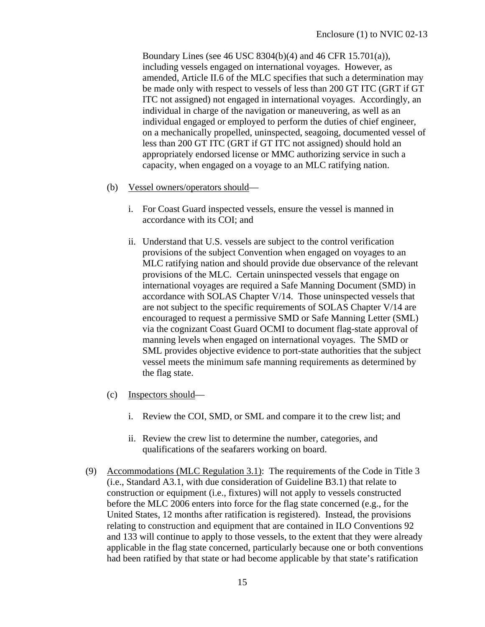Boundary Lines (see 46 USC 8304(b)(4) and 46 CFR 15.701(a)), including vessels engaged on international voyages. However, as amended, Article II.6 of the MLC specifies that such a determination may be made only with respect to vessels of less than 200 GT ITC (GRT if GT ITC not assigned) not engaged in international voyages. Accordingly, an individual in charge of the navigation or maneuvering, as well as an individual engaged or employed to perform the duties of chief engineer, on a mechanically propelled, uninspected, seagoing, documented vessel of less than 200 GT ITC (GRT if GT ITC not assigned) should hold an appropriately endorsed license or MMC authorizing service in such a capacity, when engaged on a voyage to an MLC ratifying nation.

- (b) Vessel owners/operators should
	- i. For Coast Guard inspected vessels, ensure the vessel is manned in accordance with its COI; and
	- ii. Understand that U.S. vessels are subject to the control verification provisions of the subject Convention when engaged on voyages to an MLC ratifying nation and should provide due observance of the relevant provisions of the MLC. Certain uninspected vessels that engage on international voyages are required a Safe Manning Document (SMD) in accordance with SOLAS Chapter V/14. Those uninspected vessels that are not subject to the specific requirements of SOLAS Chapter V/14 are encouraged to request a permissive SMD or Safe Manning Letter (SML) via the cognizant Coast Guard OCMI to document flag-state approval of manning levels when engaged on international voyages. The SMD or SML provides objective evidence to port-state authorities that the subject vessel meets the minimum safe manning requirements as determined by the flag state.
- (c) Inspectors should
	- i. Review the COI, SMD, or SML and compare it to the crew list; and
	- ii. Review the crew list to determine the number, categories, and qualifications of the seafarers working on board.
- (9) Accommodations (MLC Regulation 3.1): The requirements of the Code in Title 3 (i.e., Standard A3.1, with due consideration of Guideline B3.1) that relate to construction or equipment (i.e., fixtures) will not apply to vessels constructed before the MLC 2006 enters into force for the flag state concerned (e.g., for the United States, 12 months after ratification is registered). Instead, the provisions relating to construction and equipment that are contained in ILO Conventions 92 and 133 will continue to apply to those vessels, to the extent that they were already applicable in the flag state concerned, particularly because one or both conventions had been ratified by that state or had become applicable by that state's ratification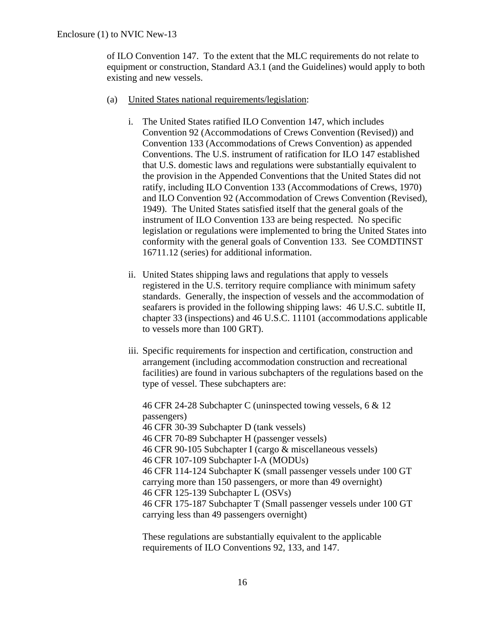of ILO Convention 147. To the extent that the MLC requirements do not relate to equipment or construction, Standard A3.1 (and the Guidelines) would apply to both existing and new vessels.

- (a) United States national requirements/legislation:
	- i. The United States ratified ILO Convention 147, which includes Convention 92 (Accommodations of Crews Convention (Revised)) and Convention 133 (Accommodations of Crews Convention) as appended Conventions. The U.S. instrument of ratification for ILO 147 established that U.S. domestic laws and regulations were substantially equivalent to the provision in the Appended Conventions that the United States did not ratify, including ILO Convention 133 (Accommodations of Crews, 1970) and ILO Convention 92 (Accommodation of Crews Convention (Revised), 1949). The United States satisfied itself that the general goals of the instrument of ILO Convention 133 are being respected. No specific legislation or regulations were implemented to bring the United States into conformity with the general goals of Convention 133. See COMDTINST 16711.12 (series) for additional information.
	- ii. United States shipping laws and regulations that apply to vessels registered in the U.S. territory require compliance with minimum safety standards. Generally, the inspection of vessels and the accommodation of seafarers is provided in the following shipping laws: 46 U.S.C. subtitle II, chapter 33 (inspections) and 46 U.S.C. 11101 (accommodations applicable to vessels more than 100 GRT).
	- iii. Specific requirements for inspection and certification, construction and arrangement (including accommodation construction and recreational facilities) are found in various subchapters of the regulations based on the type of vessel. These subchapters are:

46 CFR 24-28 Subchapter C (uninspected towing vessels, 6 & 12 passengers) 46 CFR 30-39 Subchapter D (tank vessels) 46 CFR 70-89 Subchapter H (passenger vessels) 46 CFR 90-105 Subchapter I (cargo & miscellaneous vessels) 46 CFR 107-109 Subchapter I-A (MODUs) 46 CFR 114-124 Subchapter K (small passenger vessels under 100 GT carrying more than 150 passengers, or more than 49 overnight) 46 CFR 125-139 Subchapter L (OSVs) 46 CFR 175-187 Subchapter T (Small passenger vessels under 100 GT carrying less than 49 passengers overnight)

These regulations are substantially equivalent to the applicable requirements of ILO Conventions 92, 133, and 147.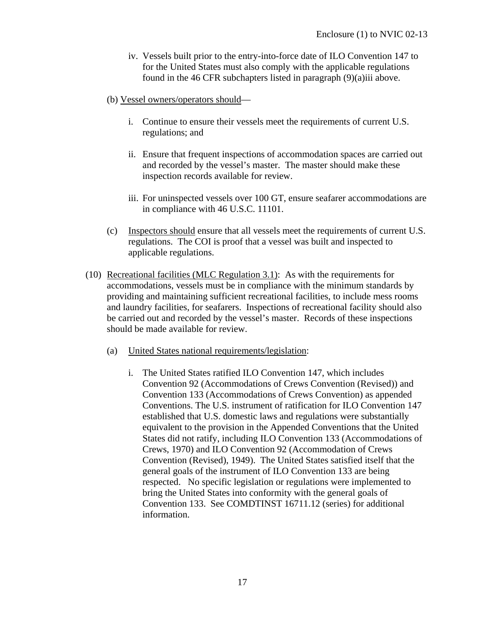- iv. Vessels built prior to the entry-into-force date of ILO Convention 147 to for the United States must also comply with the applicable regulations found in the 46 CFR subchapters listed in paragraph (9)(a)iii above.
- (b) Vessel owners/operators should
	- i. Continue to ensure their vessels meet the requirements of current U.S. regulations; and
	- ii. Ensure that frequent inspections of accommodation spaces are carried out and recorded by the vessel's master. The master should make these inspection records available for review.
	- iii. For uninspected vessels over 100 GT, ensure seafarer accommodations are in compliance with 46 U.S.C. 11101.
- (c) Inspectors should ensure that all vessels meet the requirements of current U.S. regulations. The COI is proof that a vessel was built and inspected to applicable regulations.
- (10) Recreational facilities (MLC Regulation 3.1): As with the requirements for accommodations, vessels must be in compliance with the minimum standards by providing and maintaining sufficient recreational facilities, to include mess rooms and laundry facilities, for seafarers. Inspections of recreational facility should also be carried out and recorded by the vessel's master. Records of these inspections should be made available for review.
	- (a) United States national requirements/legislation:
		- i. The United States ratified ILO Convention 147, which includes Convention 92 (Accommodations of Crews Convention (Revised)) and Convention 133 (Accommodations of Crews Convention) as appended Conventions. The U.S. instrument of ratification for ILO Convention 147 established that U.S. domestic laws and regulations were substantially equivalent to the provision in the Appended Conventions that the United States did not ratify, including ILO Convention 133 (Accommodations of Crews, 1970) and ILO Convention 92 (Accommodation of Crews Convention (Revised), 1949). The United States satisfied itself that the general goals of the instrument of ILO Convention 133 are being respected. No specific legislation or regulations were implemented to bring the United States into conformity with the general goals of Convention 133. See COMDTINST 16711.12 (series) for additional information.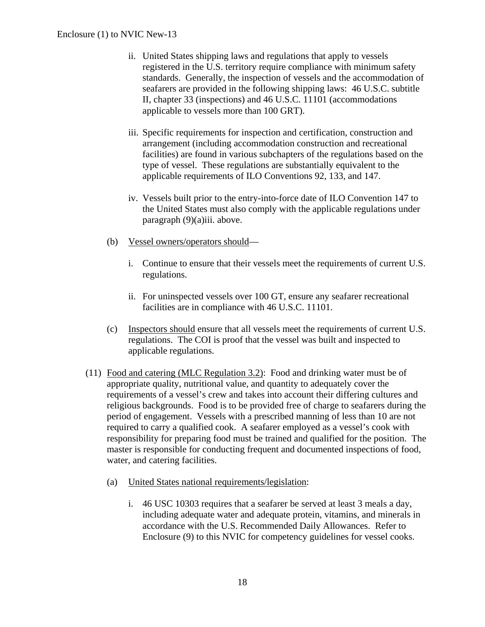- ii. United States shipping laws and regulations that apply to vessels registered in the U.S. territory require compliance with minimum safety standards. Generally, the inspection of vessels and the accommodation of seafarers are provided in the following shipping laws: 46 U.S.C. subtitle II, chapter 33 (inspections) and 46 U.S.C. 11101 (accommodations applicable to vessels more than 100 GRT).
- iii. Specific requirements for inspection and certification, construction and arrangement (including accommodation construction and recreational facilities) are found in various subchapters of the regulations based on the type of vessel. These regulations are substantially equivalent to the applicable requirements of ILO Conventions 92, 133, and 147.
- iv. Vessels built prior to the entry-into-force date of ILO Convention 147 to the United States must also comply with the applicable regulations under paragraph (9)(a)iii. above.
- (b) Vessel owners/operators should
	- i. Continue to ensure that their vessels meet the requirements of current U.S. regulations.
	- ii. For uninspected vessels over 100 GT, ensure any seafarer recreational facilities are in compliance with 46 U.S.C. 11101.
- (c) Inspectors should ensure that all vessels meet the requirements of current U.S. regulations. The COI is proof that the vessel was built and inspected to applicable regulations.
- (11) Food and catering (MLC Regulation 3.2): Food and drinking water must be of appropriate quality, nutritional value, and quantity to adequately cover the requirements of a vessel's crew and takes into account their differing cultures and religious backgrounds. Food is to be provided free of charge to seafarers during the period of engagement. Vessels with a prescribed manning of less than 10 are not required to carry a qualified cook. A seafarer employed as a vessel's cook with responsibility for preparing food must be trained and qualified for the position. The master is responsible for conducting frequent and documented inspections of food, water, and catering facilities.
	- (a) United States national requirements/legislation:
		- i. 46 USC 10303 requires that a seafarer be served at least 3 meals a day, including adequate water and adequate protein, vitamins, and minerals in accordance with the U.S. Recommended Daily Allowances. Refer to Enclosure (9) to this NVIC for competency guidelines for vessel cooks.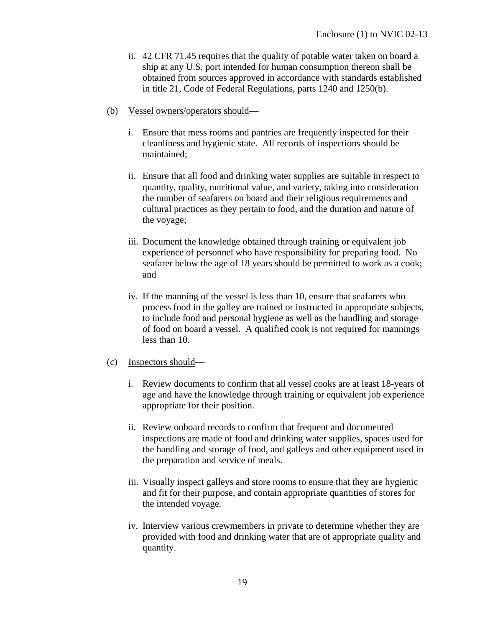- ii. 42 CFR 71.45 requires that the quality of potable water taken on board a ship at any U.S. port intended for human consumption thereon shall be obtained from sources approved in accordance with standards established in title 21, Code of Federal Regulations, parts 1240 and 1250(b).
- (b) Vessel owners/operators should
	- i. Ensure that mess rooms and pantries are frequently inspected for their cleanliness and hygienic state. All records of inspections should be maintained;
	- ii. Ensure that all food and drinking water supplies are suitable in respect to quantity, quality, nutritional value, and variety, taking into consideration the number of seafarers on board and their religious requirements and cultural practices as they pertain to food, and the duration and nature of the voyage;
	- iii. Document the knowledge obtained through training or equivalent job experience of personnel who have responsibility for preparing food. No seafarer below the age of 18 years should be permitted to work as a cook; and
	- iv. If the manning of the vessel is less than 10, ensure that seafarers who process food in the galley are trained or instructed in appropriate subjects, to include food and personal hygiene as well as the handling and storage of food on board a vessel. A qualified cook is not required for mannings less than 10.

#### (c) Inspectors should—

- i. Review documents to confirm that all vessel cooks are at least 18-years of age and have the knowledge through training or equivalent job experience appropriate for their position.
- ii. Review onboard records to confirm that frequent and documented inspections are made of food and drinking water supplies, spaces used for the handling and storage of food, and galleys and other equipment used in the preparation and service of meals.
- iii. Visually inspect galleys and store rooms to ensure that they are hygienic and fit for their purpose, and contain appropriate quantities of stores for the intended voyage.
- iv. Interview various crewmembers in private to determine whether they are provided with food and drinking water that are of appropriate quality and quantity.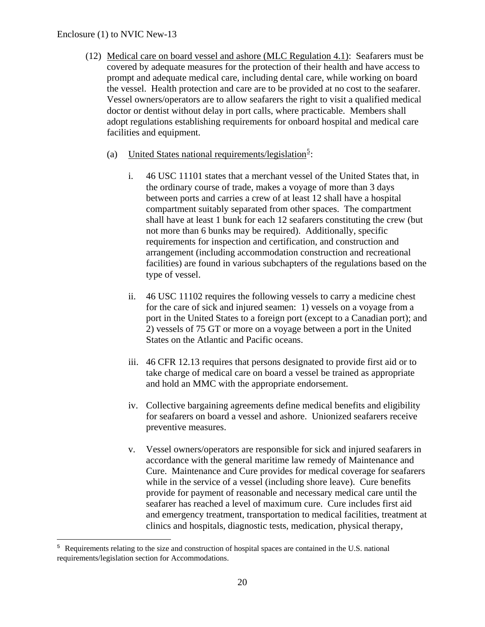### Enclosure (1) to NVIC New-13

1

- (12) Medical care on board vessel and ashore (MLC Regulation 4.1): Seafarers must be covered by adequate measures for the protection of their health and have access to prompt and adequate medical care, including dental care, while working on board the vessel. Health protection and care are to be provided at no cost to the seafarer. Vessel owners/operators are to allow seafarers the right to visit a qualified medical doctor or dentist without delay in port calls, where practicable. Members shall adopt regulations establishing requirements for onboard hospital and medical care facilities and equipment.
	- (a) United States national requirements/legislation<sup>[5](#page-26-0)</sup>:
		- i. 46 USC 11101 states that a merchant vessel of the United States that, in the ordinary course of trade, makes a voyage of more than 3 days between ports and carries a crew of at least 12 shall have a hospital compartment suitably separated from other spaces. The compartment shall have at least 1 bunk for each 12 seafarers constituting the crew (but not more than 6 bunks may be required). Additionally, specific requirements for inspection and certification, and construction and arrangement (including accommodation construction and recreational facilities) are found in various subchapters of the regulations based on the type of vessel.
		- ii. 46 USC 11102 requires the following vessels to carry a medicine chest for the care of sick and injured seamen: 1) vessels on a voyage from a port in the United States to a foreign port (except to a Canadian port); and 2) vessels of 75 GT or more on a voyage between a port in the United States on the Atlantic and Pacific oceans.
		- iii. 46 CFR 12.13 requires that persons designated to provide first aid or to take charge of medical care on board a vessel be trained as appropriate and hold an MMC with the appropriate endorsement.
		- iv. Collective bargaining agreements define medical benefits and eligibility for seafarers on board a vessel and ashore. Unionized seafarers receive preventive measures.
		- v. Vessel owners/operators are responsible for sick and injured seafarers in accordance with the general maritime law remedy of Maintenance and Cure. Maintenance and Cure provides for medical coverage for seafarers while in the service of a vessel (including shore leave). Cure benefits provide for payment of reasonable and necessary medical care until the seafarer has reached a level of maximum cure. Cure includes first aid and emergency treatment, transportation to medical facilities, treatment at clinics and hospitals, diagnostic tests, medication, physical therapy,

<span id="page-26-0"></span><sup>5</sup> Requirements relating to the size and construction of hospital spaces are contained in the U.S. national requirements/legislation section for Accommodations.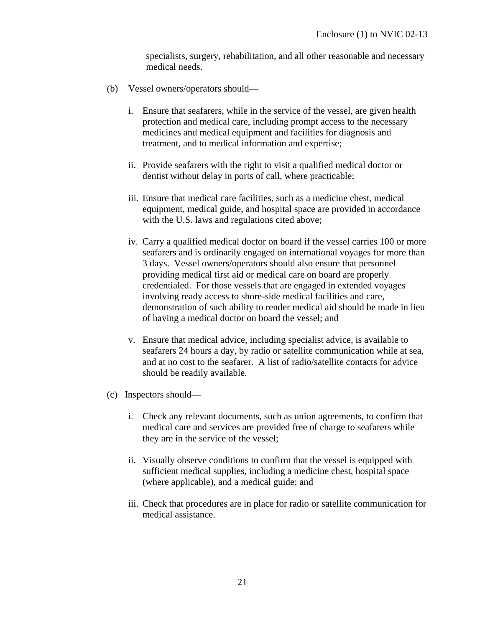specialists, surgery, rehabilitation, and all other reasonable and necessary medical needs.

- (b) Vessel owners/operators should
	- i. Ensure that seafarers, while in the service of the vessel, are given health protection and medical care, including prompt access to the necessary medicines and medical equipment and facilities for diagnosis and treatment, and to medical information and expertise;
	- ii. Provide seafarers with the right to visit a qualified medical doctor or dentist without delay in ports of call, where practicable;
	- iii. Ensure that medical care facilities, such as a medicine chest, medical equipment, medical guide, and hospital space are provided in accordance with the U.S. laws and regulations cited above;
	- iv. Carry a qualified medical doctor on board if the vessel carries 100 or more seafarers and is ordinarily engaged on international voyages for more than 3 days. Vessel owners/operators should also ensure that personnel providing medical first aid or medical care on board are properly credentialed. For those vessels that are engaged in extended voyages involving ready access to shore-side medical facilities and care, demonstration of such ability to render medical aid should be made in lieu of having a medical doctor on board the vessel; and
	- v. Ensure that medical advice, including specialist advice, is available to seafarers 24 hours a day, by radio or satellite communication while at sea, and at no cost to the seafarer. A list of radio/satellite contacts for advice should be readily available.
- (c) Inspectors should
	- i. Check any relevant documents, such as union agreements, to confirm that medical care and services are provided free of charge to seafarers while they are in the service of the vessel;
	- ii. Visually observe conditions to confirm that the vessel is equipped with sufficient medical supplies, including a medicine chest, hospital space (where applicable), and a medical guide; and
	- iii. Check that procedures are in place for radio or satellite communication for medical assistance.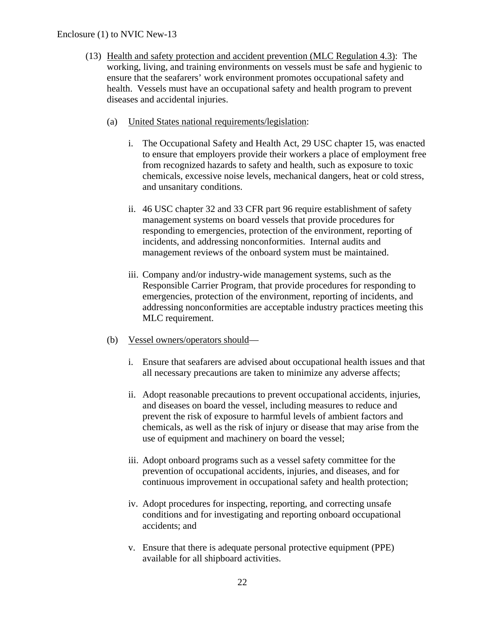### Enclosure (1) to NVIC New-13

- (13) Health and safety protection and accident prevention (MLC Regulation 4.3): The working, living, and training environments on vessels must be safe and hygienic to ensure that the seafarers' work environment promotes occupational safety and health. Vessels must have an occupational safety and health program to prevent diseases and accidental injuries.
	- (a) United States national requirements/legislation:
		- i. The Occupational Safety and Health Act, 29 USC chapter 15, was enacted to ensure that employers provide their workers a place of employment free from recognized hazards to safety and health, such as exposure to toxic chemicals, excessive noise levels, mechanical dangers, heat or cold stress, and unsanitary conditions.
		- ii. 46 USC chapter 32 and 33 CFR part 96 require establishment of safety management systems on board vessels that provide procedures for responding to emergencies, protection of the environment, reporting of incidents, and addressing nonconformities. Internal audits and management reviews of the onboard system must be maintained.
		- iii. Company and/or industry-wide management systems, such as the Responsible Carrier Program, that provide procedures for responding to emergencies, protection of the environment, reporting of incidents, and addressing nonconformities are acceptable industry practices meeting this MLC requirement.
	- (b) Vessel owners/operators should
		- i. Ensure that seafarers are advised about occupational health issues and that all necessary precautions are taken to minimize any adverse affects;
		- ii. Adopt reasonable precautions to prevent occupational accidents, injuries, and diseases on board the vessel, including measures to reduce and prevent the risk of exposure to harmful levels of ambient factors and chemicals, as well as the risk of injury or disease that may arise from the use of equipment and machinery on board the vessel;
		- iii. Adopt onboard programs such as a vessel safety committee for the prevention of occupational accidents, injuries, and diseases, and for continuous improvement in occupational safety and health protection;
		- iv. Adopt procedures for inspecting, reporting, and correcting unsafe conditions and for investigating and reporting onboard occupational accidents; and
		- v. Ensure that there is adequate personal protective equipment (PPE) available for all shipboard activities.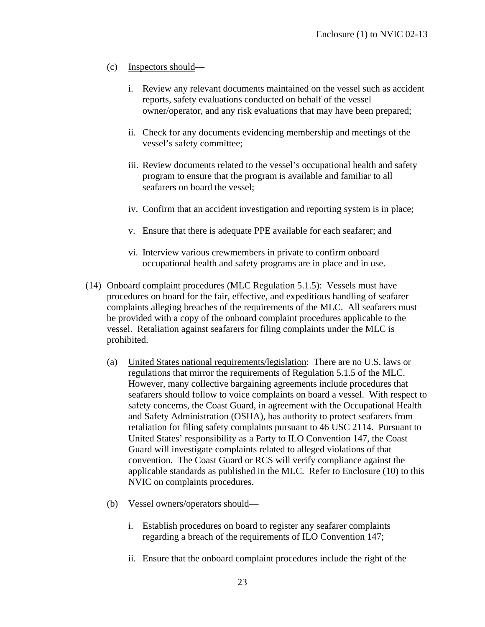## (c) Inspectors should—

- i. Review any relevant documents maintained on the vessel such as accident reports, safety evaluations conducted on behalf of the vessel owner/operator, and any risk evaluations that may have been prepared;
- ii. Check for any documents evidencing membership and meetings of the vessel's safety committee;
- iii. Review documents related to the vessel's occupational health and safety program to ensure that the program is available and familiar to all seafarers on board the vessel;
- iv. Confirm that an accident investigation and reporting system is in place;
- v. Ensure that there is adequate PPE available for each seafarer; and
- vi. Interview various crewmembers in private to confirm onboard occupational health and safety programs are in place and in use.
- (14) Onboard complaint procedures (MLC Regulation 5.1.5): Vessels must have procedures on board for the fair, effective, and expeditious handling of seafarer complaints alleging breaches of the requirements of the MLC. All seafarers must be provided with a copy of the onboard complaint procedures applicable to the vessel. Retaliation against seafarers for filing complaints under the MLC is prohibited.
	- (a) United States national requirements/legislation: There are no U.S. laws or regulations that mirror the requirements of Regulation 5.1.5 of the MLC. However, many collective bargaining agreements include procedures that seafarers should follow to voice complaints on board a vessel. With respect to safety concerns, the Coast Guard, in agreement with the Occupational Health and Safety Administration (OSHA), has authority to protect seafarers from retaliation for filing safety complaints pursuant to 46 USC 2114. Pursuant to United States' responsibility as a Party to ILO Convention 147, the Coast Guard will investigate complaints related to alleged violations of that convention. The Coast Guard or RCS will verify compliance against the applicable standards as published in the MLC. Refer to Enclosure (10) to this NVIC on complaints procedures.
	- (b) Vessel owners/operators should
		- i. Establish procedures on board to register any seafarer complaints regarding a breach of the requirements of ILO Convention 147;
		- ii. Ensure that the onboard complaint procedures include the right of the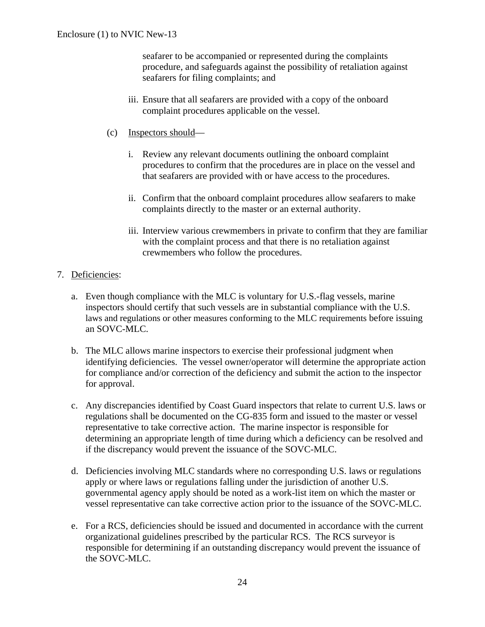seafarer to be accompanied or represented during the complaints procedure, and safeguards against the possibility of retaliation against seafarers for filing complaints; and

- iii. Ensure that all seafarers are provided with a copy of the onboard complaint procedures applicable on the vessel.
- (c) Inspectors should
	- i. Review any relevant documents outlining the onboard complaint procedures to confirm that the procedures are in place on the vessel and that seafarers are provided with or have access to the procedures.
	- ii. Confirm that the onboard complaint procedures allow seafarers to make complaints directly to the master or an external authority.
	- iii. Interview various crewmembers in private to confirm that they are familiar with the complaint process and that there is no retaliation against crewmembers who follow the procedures.

### 7. Deficiencies:

- a. Even though compliance with the MLC is voluntary for U.S.-flag vessels, marine inspectors should certify that such vessels are in substantial compliance with the U.S. laws and regulations or other measures conforming to the MLC requirements before issuing an SOVC-MLC.
- b. The MLC allows marine inspectors to exercise their professional judgment when identifying deficiencies. The vessel owner/operator will determine the appropriate action for compliance and/or correction of the deficiency and submit the action to the inspector for approval.
- c. Any discrepancies identified by Coast Guard inspectors that relate to current U.S. laws or regulations shall be documented on the CG-835 form and issued to the master or vessel representative to take corrective action. The marine inspector is responsible for determining an appropriate length of time during which a deficiency can be resolved and if the discrepancy would prevent the issuance of the SOVC-MLC.
- d. Deficiencies involving MLC standards where no corresponding U.S. laws or regulations apply or where laws or regulations falling under the jurisdiction of another U.S. governmental agency apply should be noted as a work-list item on which the master or vessel representative can take corrective action prior to the issuance of the SOVC-MLC.
- e. For a RCS, deficiencies should be issued and documented in accordance with the current organizational guidelines prescribed by the particular RCS. The RCS surveyor is responsible for determining if an outstanding discrepancy would prevent the issuance of the SOVC-MLC.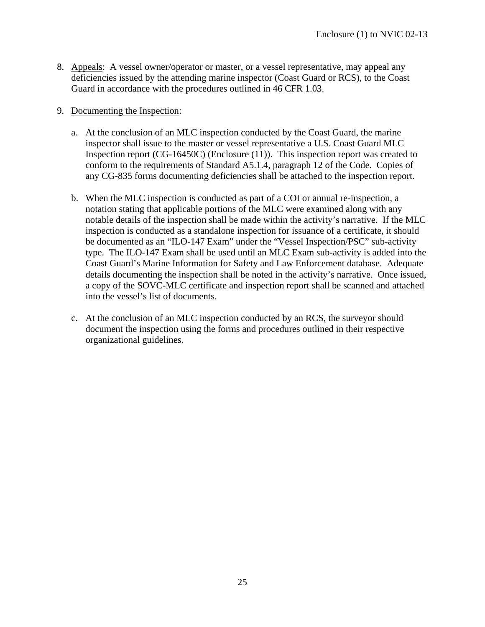- 8. Appeals: A vessel owner/operator or master, or a vessel representative, may appeal any deficiencies issued by the attending marine inspector (Coast Guard or RCS), to the Coast Guard in accordance with the procedures outlined in 46 CFR 1.03.
- 9. Documenting the Inspection:
	- a. At the conclusion of an MLC inspection conducted by the Coast Guard, the marine inspector shall issue to the master or vessel representative a U.S. Coast Guard MLC Inspection report (CG-16450C) (Enclosure (11)). This inspection report was created to conform to the requirements of Standard A5.1.4, paragraph 12 of the Code. Copies of any CG-835 forms documenting deficiencies shall be attached to the inspection report.
	- b. When the MLC inspection is conducted as part of a COI or annual re-inspection, a notation stating that applicable portions of the MLC were examined along with any notable details of the inspection shall be made within the activity's narrative. If the MLC inspection is conducted as a standalone inspection for issuance of a certificate, it should be documented as an "ILO-147 Exam" under the "Vessel Inspection/PSC" sub-activity type. The ILO-147 Exam shall be used until an MLC Exam sub-activity is added into the Coast Guard's Marine Information for Safety and Law Enforcement database. Adequate details documenting the inspection shall be noted in the activity's narrative. Once issued, a copy of the SOVC-MLC certificate and inspection report shall be scanned and attached into the vessel's list of documents.
	- c. At the conclusion of an MLC inspection conducted by an RCS, the surveyor should document the inspection using the forms and procedures outlined in their respective organizational guidelines.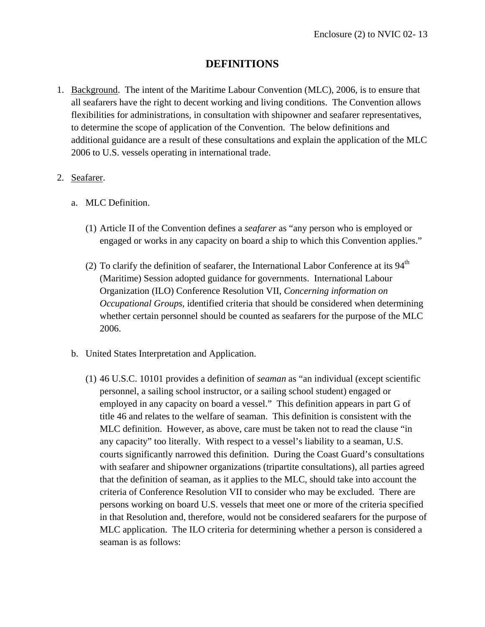## **DEFINITIONS**

- 1. Background. The intent of the Maritime Labour Convention (MLC), 2006, is to ensure that all seafarers have the right to decent working and living conditions. The Convention allows flexibilities for administrations, in consultation with shipowner and seafarer representatives, to determine the scope of application of the Convention. The below definitions and additional guidance are a result of these consultations and explain the application of the MLC 2006 to U.S. vessels operating in international trade.
- 2. Seafarer.
	- a. MLC Definition.
		- (1) Article II of the Convention defines a *seafarer* as "any person who is employed or engaged or works in any capacity on board a ship to which this Convention applies."
		- (2) To clarify the definition of seafarer, the International Labor Conference at its  $94<sup>th</sup>$ (Maritime) Session adopted guidance for governments. International Labour Organization (ILO) Conference Resolution VII, *Concerning information on Occupational Groups*, identified criteria that should be considered when determining whether certain personnel should be counted as seafarers for the purpose of the MLC 2006.
	- b. United States Interpretation and Application.
		- (1) 46 U.S.C. 10101 provides a definition of *seaman* as "an individual (except scientific personnel, a sailing school instructor, or a sailing school student) engaged or employed in any capacity on board a vessel." This definition appears in part G of title 46 and relates to the welfare of seaman. This definition is consistent with the MLC definition. However, as above, care must be taken not to read the clause "in any capacity" too literally. With respect to a vessel's liability to a seaman, U.S. courts significantly narrowed this definition. During the Coast Guard's consultations with seafarer and shipowner organizations (tripartite consultations), all parties agreed that the definition of seaman, as it applies to the MLC, should take into account the criteria of Conference Resolution VII to consider who may be excluded. There are persons working on board U.S. vessels that meet one or more of the criteria specified in that Resolution and, therefore, would not be considered seafarers for the purpose of MLC application. The ILO criteria for determining whether a person is considered a seaman is as follows: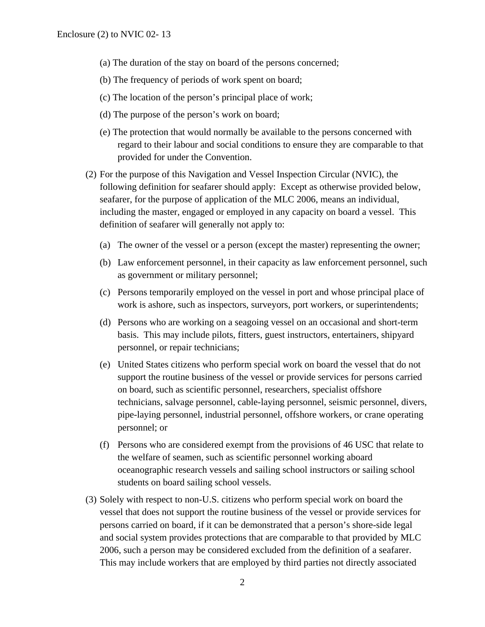- (a) The duration of the stay on board of the persons concerned;
- (b) The frequency of periods of work spent on board;
- (c) The location of the person's principal place of work;
- (d) The purpose of the person's work on board;
- (e) The protection that would normally be available to the persons concerned with regard to their labour and social conditions to ensure they are comparable to that provided for under the Convention.
- (2) For the purpose of this Navigation and Vessel Inspection Circular (NVIC), the following definition for seafarer should apply: Except as otherwise provided below, seafarer, for the purpose of application of the MLC 2006, means an individual, including the master, engaged or employed in any capacity on board a vessel. This definition of seafarer will generally not apply to:
	- (a) The owner of the vessel or a person (except the master) representing the owner;
	- (b) Law enforcement personnel, in their capacity as law enforcement personnel, such as government or military personnel;
	- (c) Persons temporarily employed on the vessel in port and whose principal place of work is ashore, such as inspectors, surveyors, port workers, or superintendents;
	- (d) Persons who are working on a seagoing vessel on an occasional and short-term basis. This may include pilots, fitters, guest instructors, entertainers, shipyard personnel, or repair technicians;
	- (e) United States citizens who perform special work on board the vessel that do not support the routine business of the vessel or provide services for persons carried on board, such as scientific personnel, researchers, specialist offshore technicians, salvage personnel, cable-laying personnel, seismic personnel, divers, pipe-laying personnel, industrial personnel, offshore workers, or crane operating personnel; or
	- (f) Persons who are considered exempt from the provisions of 46 USC that relate to the welfare of seamen, such as scientific personnel working aboard oceanographic research vessels and sailing school instructors or sailing school students on board sailing school vessels.
- (3) Solely with respect to non-U.S. citizens who perform special work on board the vessel that does not support the routine business of the vessel or provide services for persons carried on board, if it can be demonstrated that a person's shore-side legal and social system provides protections that are comparable to that provided by MLC 2006, such a person may be considered excluded from the definition of a seafarer. This may include workers that are employed by third parties not directly associated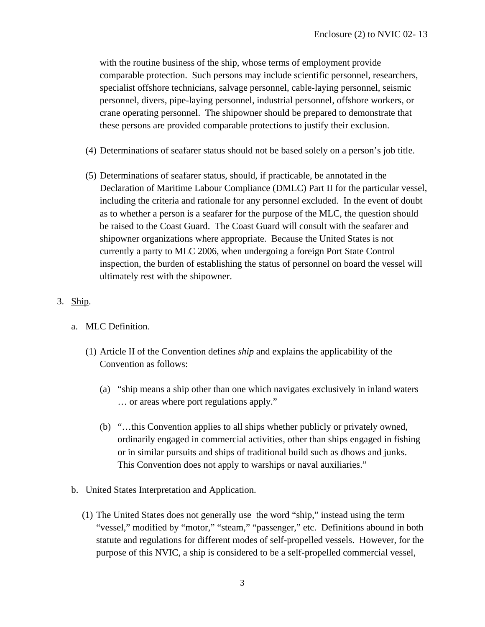with the routine business of the ship, whose terms of employment provide comparable protection. Such persons may include scientific personnel, researchers, specialist offshore technicians, salvage personnel, cable-laying personnel, seismic personnel, divers, pipe-laying personnel, industrial personnel, offshore workers, or crane operating personnel. The shipowner should be prepared to demonstrate that these persons are provided comparable protections to justify their exclusion.

- (4) Determinations of seafarer status should not be based solely on a person's job title.
- (5) Determinations of seafarer status, should, if practicable, be annotated in the Declaration of Maritime Labour Compliance (DMLC) Part II for the particular vessel, including the criteria and rationale for any personnel excluded. In the event of doubt as to whether a person is a seafarer for the purpose of the MLC, the question should be raised to the Coast Guard. The Coast Guard will consult with the seafarer and shipowner organizations where appropriate. Because the United States is not currently a party to MLC 2006, when undergoing a foreign Port State Control inspection, the burden of establishing the status of personnel on board the vessel will ultimately rest with the shipowner.

### 3. Ship.

- a. MLC Definition.
	- (1) Article II of the Convention defines *ship* and explains the applicability of the Convention as follows:
		- (a) "ship means a ship other than one which navigates exclusively in inland waters … or areas where port regulations apply."
		- (b) "…this Convention applies to all ships whether publicly or privately owned, ordinarily engaged in commercial activities, other than ships engaged in fishing or in similar pursuits and ships of traditional build such as dhows and junks. This Convention does not apply to warships or naval auxiliaries."
- b. United States Interpretation and Application.
	- (1) The United States does not generally use the word "ship," instead using the term "vessel," modified by "motor," "steam," "passenger," etc. Definitions abound in both statute and regulations for different modes of self-propelled vessels. However, for the purpose of this NVIC, a ship is considered to be a self-propelled commercial vessel,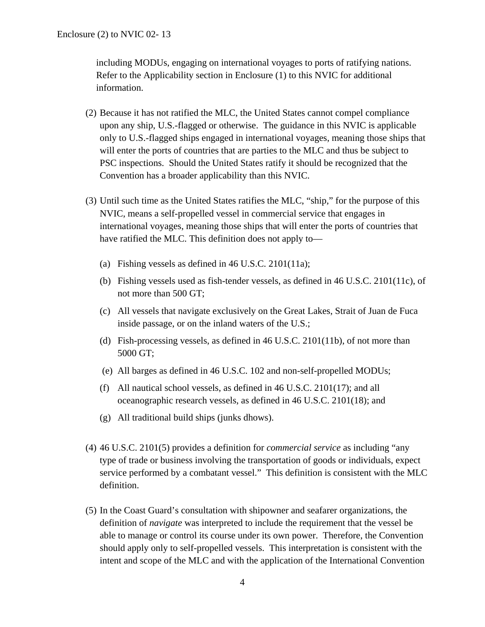including MODUs, engaging on international voyages to ports of ratifying nations. Refer to the Applicability section in Enclosure (1) to this NVIC for additional information.

- (2) Because it has not ratified the MLC, the United States cannot compel compliance upon any ship, U.S.-flagged or otherwise. The guidance in this NVIC is applicable only to U.S.-flagged ships engaged in international voyages, meaning those ships that will enter the ports of countries that are parties to the MLC and thus be subject to PSC inspections. Should the United States ratify it should be recognized that the Convention has a broader applicability than this NVIC.
- (3) Until such time as the United States ratifies the MLC, "ship*,*" for the purpose of this NVIC, means a self-propelled vessel in commercial service that engages in international voyages, meaning those ships that will enter the ports of countries that have ratified the MLC. This definition does not apply to—
	- (a) Fishing vessels as defined in 46 U.S.C. 2101(11a);
	- (b) Fishing vessels used as fish-tender vessels, as defined in 46 U.S.C. 2101(11c), of not more than 500 GT;
	- (c) All vessels that navigate exclusively on the Great Lakes, Strait of Juan de Fuca inside passage, or on the inland waters of the U.S.;
	- (d) Fish-processing vessels, as defined in 46 U.S.C. 2101(11b), of not more than 5000 GT;
	- (e) All barges as defined in 46 U.S.C. 102 and non-self-propelled MODUs;
	- (f) All nautical school vessels, as defined in 46 U.S.C. 2101(17); and all oceanographic research vessels, as defined in 46 U.S.C. 2101(18); and
	- (g) All traditional build ships (junks dhows).
- (4) 46 U.S.C. 2101(5) provides a definition for *commercial service* as including "any type of trade or business involving the transportation of goods or individuals, expect service performed by a combatant vessel." This definition is consistent with the MLC definition.
- (5) In the Coast Guard's consultation with shipowner and seafarer organizations, the definition of *navigate* was interpreted to include the requirement that the vessel be able to manage or control its course under its own power. Therefore, the Convention should apply only to self-propelled vessels. This interpretation is consistent with the intent and scope of the MLC and with the application of the International Convention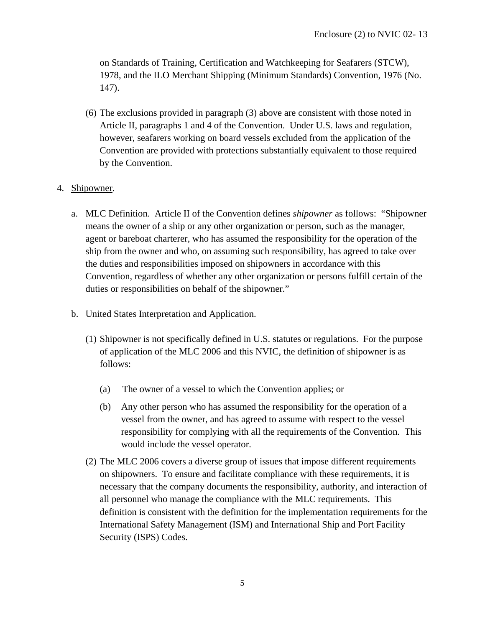on Standards of Training, Certification and Watchkeeping for Seafarers (STCW), 1978, and the ILO Merchant Shipping (Minimum Standards) Convention, 1976 (No. 147).

- (6) The exclusions provided in paragraph (3) above are consistent with those noted in Article II, paragraphs 1 and 4 of the Convention. Under U.S. laws and regulation, however, seafarers working on board vessels excluded from the application of the Convention are provided with protections substantially equivalent to those required by the Convention.
- 4. Shipowner.
	- a. MLC Definition. Article II of the Convention defines *shipowner* as follows: "Shipowner means the owner of a ship or any other organization or person, such as the manager, agent or bareboat charterer, who has assumed the responsibility for the operation of the ship from the owner and who, on assuming such responsibility, has agreed to take over the duties and responsibilities imposed on shipowners in accordance with this Convention, regardless of whether any other organization or persons fulfill certain of the duties or responsibilities on behalf of the shipowner."
	- b. United States Interpretation and Application.
		- (1) Shipowner is not specifically defined in U.S. statutes or regulations. For the purpose of application of the MLC 2006 and this NVIC, the definition of shipowner is as follows:
			- (a) The owner of a vessel to which the Convention applies; or
			- (b) Any other person who has assumed the responsibility for the operation of a vessel from the owner, and has agreed to assume with respect to the vessel responsibility for complying with all the requirements of the Convention. This would include the vessel operator.
		- (2) The MLC 2006 covers a diverse group of issues that impose different requirements on shipowners. To ensure and facilitate compliance with these requirements, it is necessary that the company documents the responsibility, authority, and interaction of all personnel who manage the compliance with the MLC requirements. This definition is consistent with the definition for the implementation requirements for the International Safety Management (ISM) and International Ship and Port Facility Security (ISPS) Codes.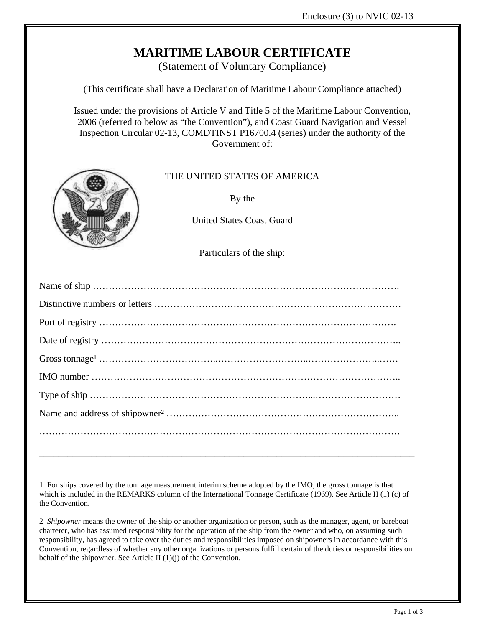

(Statement of Voluntary Compliance)

(This certificate shall have a Declaration of Maritime Labour Compliance attached)

Issued under the provisions of Article V and Title 5 of the Maritime Labour Convention, 2006 (referred to below as "the Convention"), and Coast Guard Navigation and Vessel Inspection Circular 02-13, COMDTINST P16700.4 (series) under the authority of the Government of:



## THE UNITED STATES OF AMERICA

By the

United States Coast Guard

Particulars of the ship:

1 For ships covered by the tonnage measurement interim scheme adopted by the IMO, the gross tonnage is that which is included in the REMARKS column of the International Tonnage Certificate (1969). See Article II (1) (c) of the Convention.

\_\_\_\_\_\_\_\_\_\_\_\_\_\_\_\_\_\_\_\_\_\_\_\_\_\_\_\_\_\_\_\_\_\_\_\_\_\_\_\_\_\_\_\_\_\_\_\_\_\_\_\_\_\_\_\_\_\_\_\_\_\_\_\_\_\_\_\_\_\_\_\_\_\_\_\_\_\_\_

2 *Shipowner* means the owner of the ship or another organization or person, such as the manager, agent, or bareboat charterer, who has assumed responsibility for the operation of the ship from the owner and who, on assuming such responsibility, has agreed to take over the duties and responsibilities imposed on shipowners in accordance with this Convention, regardless of whether any other organizations or persons fulfill certain of the duties or responsibilities on behalf of the shipowner. See Article II (1)(j) of the Convention.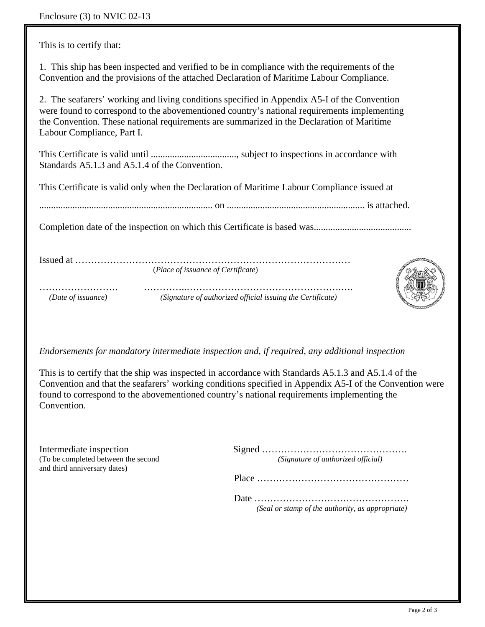This is to certify that:

1. This ship has been inspected and verified to be in compliance with the requirements of the Convention and the provisions of the attached Declaration of Maritime Labour Compliance.

2. The seafarers' working and living conditions specified in Appendix A5-I of the Convention were found to correspond to the abovementioned country's national requirements implementing the Convention. These national requirements are summarized in the Declaration of Maritime Labour Compliance, Part I.

This Certificate is valid until ...................................., subject to inspections in accordance with Standards A5.1.3 and A5.1.4 of the Convention.

This Certificate is valid only when the Declaration of Maritime Labour Compliance issued at

......................................................................... on .......................................................... is attached.

Completion date of the inspection on which this Certificate is based was.........................................

Issued at …………………………………………………………………………… (*Place of issuance of Certificate*)

……………………. …………..………………………………………….….  *(Date of issuance) (Signature of authorized official issuing the Certificate)* 



*Endorsements for mandatory intermediate inspection and, if required, any additional inspection* 

This is to certify that the ship was inspected in accordance with Standards A5.1.3 and A5.1.4 of the Convention and that the seafarers' working conditions specified in Appendix A5-I of the Convention were found to correspond to the abovementioned country's national requirements implementing the Convention.

and third anniversary dates)

Intermediate inspection Signed ………………………………………. (To be completed between the second *(Signature of authorized official)* 

Place …………………………………………

 Date …………………………………………. *(Seal or stamp of the authority, as appropriate)*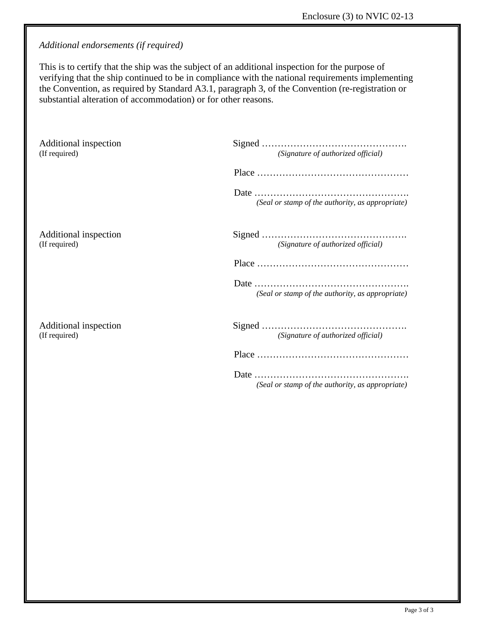*Additional endorsements (if required)* 

This is to certify that the ship was the subject of an additional inspection for the purpose of verifying that the ship continued to be in compliance with the national requirements implementing the Convention, as required by Standard A3.1, paragraph 3, of the Convention (re-registration or substantial alteration of accommodation) or for other reasons.

| (Signature of authorized official)               |
|--------------------------------------------------|
|                                                  |
| (Seal or stamp of the authority, as appropriate) |
| (Signature of authorized official)               |
|                                                  |
| (Seal or stamp of the authority, as appropriate) |
| (Signature of authorized official)               |
|                                                  |
| (Seal or stamp of the authority, as appropriate) |
|                                                  |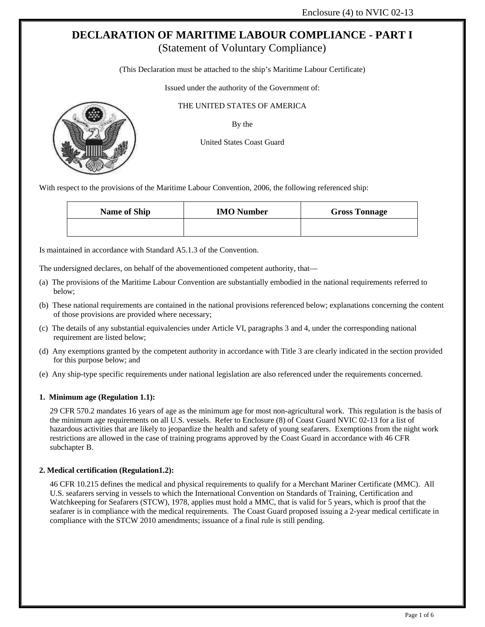(This Declaration must be attached to the ship's Maritime Labour Certificate)

Issued under the authority of the Government of:

#### THE UNITED STATES OF AMERICA

By the

United States Coast Guard

With respect to the provisions of the Maritime Labour Convention, 2006, the following referenced ship:

| <b>Name of Ship</b> | <b>IMO</b> Number | <b>Gross Tonnage</b> |  |  |  |
|---------------------|-------------------|----------------------|--|--|--|
|                     |                   |                      |  |  |  |

Is maintained in accordance with Standard A5.1.3 of the Convention.

The undersigned declares, on behalf of the abovementioned competent authority, that—

- (a) The provisions of the Maritime Labour Convention are substantially embodied in the national requirements referred to below;
- (b) These national requirements are contained in the national provisions referenced below; explanations concerning the content of those provisions are provided where necessary;
- (c) The details of any substantial equivalencies under Article VI, paragraphs 3 and 4, under the corresponding national requirement are listed below;
- (d) Any exemptions granted by the competent authority in accordance with Title 3 are clearly indicated in the section provided for this purpose below; and
- (e) Any ship-type specific requirements under national legislation are also referenced under the requirements concerned.

#### **1. Minimum age (Regulation 1.1):**

29 CFR 570.2 mandates 16 years of age as the minimum age for most non-agricultural work. This regulation is the basis of the minimum age requirements on all U.S. vessels. Refer to Enclosure (8) of Coast Guard NVIC 02-13 for a list of hazardous activities that are likely to jeopardize the health and safety of young seafarers. Exemptions from the night work restrictions are allowed in the case of training programs approved by the Coast Guard in accordance with 46 CFR subchapter B.

#### **2. Medical certification (Regulation1.2):**

46 CFR 10.215 defines the medical and physical requirements to qualify for a Merchant Mariner Certificate (MMC). All U.S. seafarers serving in vessels to which the International Convention on Standards of Training, Certification and Watchkeeping for Seafarers (STCW), 1978, applies must hold a MMC, that is valid for 5 years, which is proof that the seafarer is in compliance with the medical requirements. The Coast Guard proposed issuing a 2-year medical certificate in compliance with the STCW 2010 amendments; issuance of a final rule is still pending.

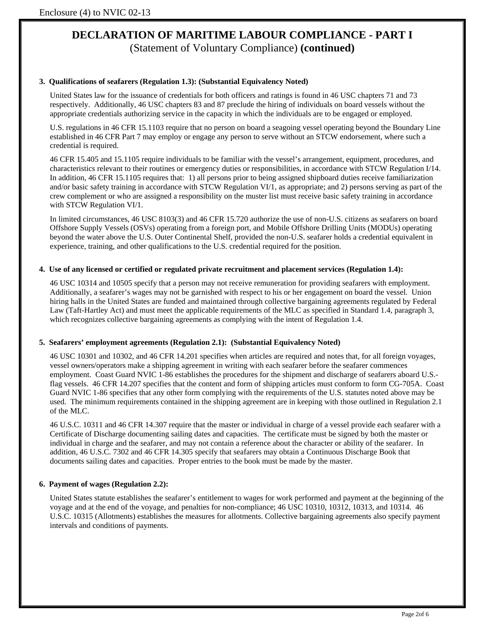#### **3. Qualifications of seafarers (Regulation 1.3): (Substantial Equivalency Noted)**

United States law for the issuance of credentials for both officers and ratings is found in 46 USC chapters 71 and 73 respectively. Additionally, 46 USC chapters 83 and 87 preclude the hiring of individuals on board vessels without the appropriate credentials authorizing service in the capacity in which the individuals are to be engaged or employed.

U.S. regulations in 46 CFR 15.1103 require that no person on board a seagoing vessel operating beyond the Boundary Line established in 46 CFR Part 7 may employ or engage any person to serve without an STCW endorsement, where such a credential is required.

46 CFR 15.405 and 15.1105 require individuals to be familiar with the vessel's arrangement, equipment, procedures, and characteristics relevant to their routines or emergency duties or responsibilities, in accordance with STCW Regulation I/14. In addition, 46 CFR 15.1105 requires that: 1) all persons prior to being assigned shipboard duties receive familiarization and/or basic safety training in accordance with STCW Regulation VI/1, as appropriate; and 2) persons serving as part of the crew complement or who are assigned a responsibility on the muster list must receive basic safety training in accordance with STCW Regulation VI/1.

In limited circumstances, 46 USC 8103(3) and 46 CFR 15.720 authorize the use of non-U.S. citizens as seafarers on board Offshore Supply Vessels (OSVs) operating from a foreign port, and Mobile Offshore Drilling Units (MODUs) operating beyond the water above the U.S. Outer Continental Shelf, provided the non-U.S. seafarer holds a credential equivalent in experience, training, and other qualifications to the U.S. credential required for the position.

#### **4. Use of any licensed or certified or regulated private recruitment and placement services (Regulation 1.4):**

46 USC 10314 and 10505 specify that a person may not receive remuneration for providing seafarers with employment. Additionally, a seafarer's wages may not be garnished with respect to his or her engagement on board the vessel. Union hiring halls in the United States are funded and maintained through collective bargaining agreements regulated by Federal Law (Taft-Hartley Act) and must meet the applicable requirements of the MLC as specified in Standard 1.4, paragraph 3, which recognizes collective bargaining agreements as complying with the intent of Regulation 1.4.

#### **5. Seafarers' employment agreements (Regulation 2.1): (Substantial Equivalency Noted)**

46 USC 10301 and 10302, and 46 CFR 14.201 specifies when articles are required and notes that, for all foreign voyages, vessel owners/operators make a shipping agreement in writing with each seafarer before the seafarer commences employment. Coast Guard NVIC 1-86 establishes the procedures for the shipment and discharge of seafarers aboard U.S. flag vessels. 46 CFR 14.207 specifies that the content and form of shipping articles must conform to form CG-705A. Coast Guard NVIC 1-86 specifies that any other form complying with the requirements of the U.S. statutes noted above may be used. The minimum requirements contained in the shipping agreement are in keeping with those outlined in Regulation 2.1 of the MLC.

46 U.S.C. 10311 and 46 CFR 14.307 require that the master or individual in charge of a vessel provide each seafarer with a Certificate of Discharge documenting sailing dates and capacities. The certificate must be signed by both the master or individual in charge and the seafarer, and may not contain a reference about the character or ability of the seafarer. In addition, 46 U.S.C. 7302 and 46 CFR 14.305 specify that seafarers may obtain a Continuous Discharge Book that documents sailing dates and capacities. Proper entries to the book must be made by the master.

#### **6. Payment of wages (Regulation 2.2):**

United States statute establishes the seafarer's entitlement to wages for work performed and payment at the beginning of the voyage and at the end of the voyage, and penalties for non-compliance; 46 USC 10310, 10312, 10313, and 10314. 46 U.S.C. 10315 (Allotments) establishes the measures for allotments. Collective bargaining agreements also specify payment intervals and conditions of payments.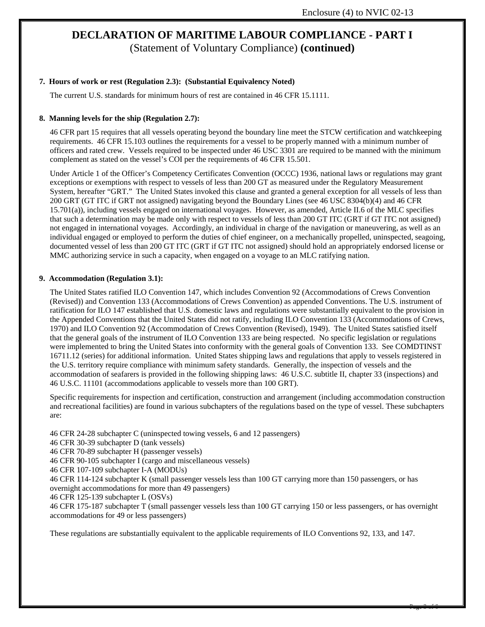#### **7. Hours of work or rest (Regulation 2.3): (Substantial Equivalency Noted)**

The current U.S. standards for minimum hours of rest are contained in 46 CFR 15.1111.

#### **8. Manning levels for the ship (Regulation 2.7):**

46 CFR part 15 requires that all vessels operating beyond the boundary line meet the STCW certification and watchkeeping requirements. 46 CFR 15.103 outlines the requirements for a vessel to be properly manned with a minimum number of officers and rated crew. Vessels required to be inspected under 46 USC 3301 are required to be manned with the minimum complement as stated on the vessel's COI per the requirements of 46 CFR 15.501.

Under Article 1 of the Officer's Competency Certificates Convention (OCCC) 1936, national laws or regulations may grant exceptions or exemptions with respect to vessels of less than 200 GT as measured under the Regulatory Measurement System, hereafter "GRT." The United States invoked this clause and granted a general exception for all vessels of less than 200 GRT (GT ITC if GRT not assigned) navigating beyond the Boundary Lines (see 46 USC 8304(b)(4) and 46 CFR 15.701(a)), including vessels engaged on international voyages. However, as amended, Article II.6 of the MLC specifies that such a determination may be made only with respect to vessels of less than 200 GT ITC (GRT if GT ITC not assigned) not engaged in international voyages. Accordingly, an individual in charge of the navigation or maneuvering, as well as an individual engaged or employed to perform the duties of chief engineer, on a mechanically propelled, uninspected, seagoing, documented vessel of less than 200 GT ITC (GRT if GT ITC not assigned) should hold an appropriately endorsed license or MMC authorizing service in such a capacity, when engaged on a voyage to an MLC ratifying nation.

#### **9. Accommodation (Regulation 3.1):**

The United States ratified ILO Convention 147, which includes Convention 92 (Accommodations of Crews Convention (Revised)) and Convention 133 (Accommodations of Crews Convention) as appended Conventions. The U.S. instrument of ratification for ILO 147 established that U.S. domestic laws and regulations were substantially equivalent to the provision in the Appended Conventions that the United States did not ratify, including ILO Convention 133 (Accommodations of Crews, 1970) and ILO Convention 92 (Accommodation of Crews Convention (Revised), 1949). The United States satisfied itself that the general goals of the instrument of ILO Convention 133 are being respected. No specific legislation or regulations were implemented to bring the United States into conformity with the general goals of Convention 133. See COMDTINST 16711.12 (series) for additional information. United States shipping laws and regulations that apply to vessels registered in the U.S. territory require compliance with minimum safety standards. Generally, the inspection of vessels and the accommodation of seafarers is provided in the following shipping laws: 46 U.S.C. subtitle II, chapter 33 (inspections) and 46 U.S.C. 11101 (accommodations applicable to vessels more than 100 GRT).

Specific requirements for inspection and certification, construction and arrangement (including accommodation construction and recreational facilities) are found in various subchapters of the regulations based on the type of vessel. These subchapters are:

46 CFR 24-28 subchapter C (uninspected towing vessels, 6 and 12 passengers)

46 CFR 30-39 subchapter D (tank vessels)

46 CFR 70-89 subchapter H (passenger vessels)

46 CFR 90-105 subchapter I (cargo and miscellaneous vessels)

46 CFR 107-109 subchapter I-A (MODUs)

46 CFR 114-124 subchapter K (small passenger vessels less than 100 GT carrying more than 150 passengers, or has overnight accommodations for more than 49 passengers)

46 CFR 125-139 subchapter L (OSVs)

46 CFR 175-187 subchapter T (small passenger vessels less than 100 GT carrying 150 or less passengers, or has overnight accommodations for 49 or less passengers)

These regulations are substantially equivalent to the applicable requirements of ILO Conventions 92, 133, and 147.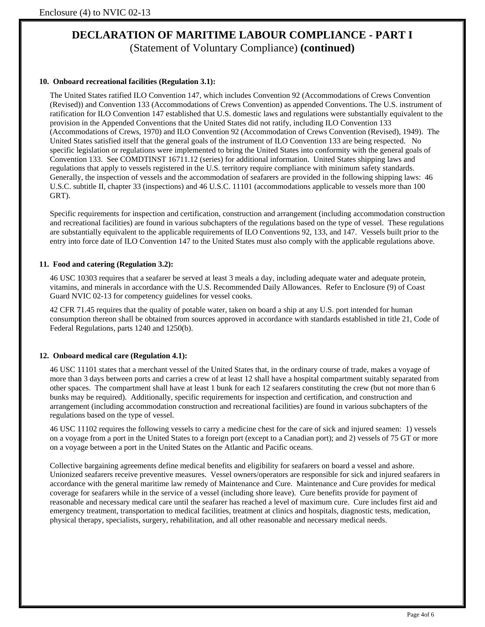#### **10. Onboard recreational facilities (Regulation 3.1):**

The United States ratified ILO Convention 147, which includes Convention 92 (Accommodations of Crews Convention (Revised)) and Convention 133 (Accommodations of Crews Convention) as appended Conventions. The U.S. instrument of ratification for ILO Convention 147 established that U.S. domestic laws and regulations were substantially equivalent to the provision in the Appended Conventions that the United States did not ratify, including ILO Convention 133 (Accommodations of Crews, 1970) and ILO Convention 92 (Accommodation of Crews Convention (Revised), 1949). The United States satisfied itself that the general goals of the instrument of ILO Convention 133 are being respected. No specific legislation or regulations were implemented to bring the United States into conformity with the general goals of Convention 133. See COMDTINST 16711.12 (series) for additional information. United States shipping laws and regulations that apply to vessels registered in the U.S. territory require compliance with minimum safety standards. Generally, the inspection of vessels and the accommodation of seafarers are provided in the following shipping laws: 46 U.S.C. subtitle II, chapter 33 (inspections) and 46 U.S.C. 11101 (accommodations applicable to vessels more than 100 GRT).

Specific requirements for inspection and certification, construction and arrangement (including accommodation construction and recreational facilities) are found in various subchapters of the regulations based on the type of vessel. These regulations are substantially equivalent to the applicable requirements of ILO Conventions 92, 133, and 147. Vessels built prior to the entry into force date of ILO Convention 147 to the United States must also comply with the applicable regulations above.

#### **11. Food and catering (Regulation 3.2):**

46 USC 10303 requires that a seafarer be served at least 3 meals a day, including adequate water and adequate protein, vitamins, and minerals in accordance with the U.S. Recommended Daily Allowances. Refer to Enclosure (9) of Coast Guard NVIC 02-13 for competency guidelines for vessel cooks.

42 CFR 71.45 requires that the quality of potable water, taken on board a ship at any U.S. port intended for human consumption thereon shall be obtained from sources approved in accordance with standards established in title 21, Code of Federal Regulations, parts 1240 and 1250(b).

#### **12. Onboard medical care (Regulation 4.1):**

46 USC 11101 states that a merchant vessel of the United States that, in the ordinary course of trade, makes a voyage of more than 3 days between ports and carries a crew of at least 12 shall have a hospital compartment suitably separated from other spaces. The compartment shall have at least 1 bunk for each 12 seafarers constituting the crew (but not more than 6 bunks may be required). Additionally, specific requirements for inspection and certification, and construction and arrangement (including accommodation construction and recreational facilities) are found in various subchapters of the regulations based on the type of vessel.

46 USC 11102 requires the following vessels to carry a medicine chest for the care of sick and injured seamen: 1) vessels on a voyage from a port in the United States to a foreign port (except to a Canadian port); and 2) vessels of 75 GT or more on a voyage between a port in the United States on the Atlantic and Pacific oceans.

Collective bargaining agreements define medical benefits and eligibility for seafarers on board a vessel and ashore. Unionized seafarers receive preventive measures. Vessel owners/operators are responsible for sick and injured seafarers in accordance with the general maritime law remedy of Maintenance and Cure. Maintenance and Cure provides for medical coverage for seafarers while in the service of a vessel (including shore leave). Cure benefits provide for payment of reasonable and necessary medical care until the seafarer has reached a level of maximum cure. Cure includes first aid and emergency treatment, transportation to medical facilities, treatment at clinics and hospitals, diagnostic tests, medication, physical therapy, specialists, surgery, rehabilitation, and all other reasonable and necessary medical needs.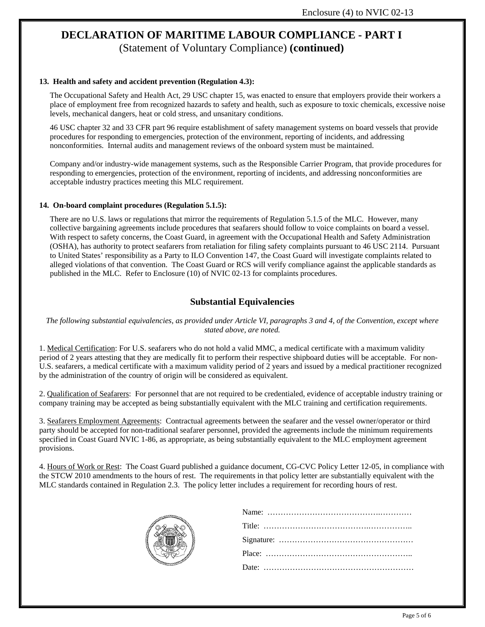#### **13. Health and safety and accident prevention (Regulation 4.3):**

The Occupational Safety and Health Act, 29 USC chapter 15, was enacted to ensure that employers provide their workers a place of employment free from recognized hazards to safety and health, such as exposure to toxic chemicals, excessive noise levels, mechanical dangers, heat or cold stress, and unsanitary conditions.

46 USC chapter 32 and 33 CFR part 96 require establishment of safety management systems on board vessels that provide procedures for responding to emergencies, protection of the environment, reporting of incidents, and addressing nonconformities. Internal audits and management reviews of the onboard system must be maintained.

Company and/or industry-wide management systems, such as the Responsible Carrier Program, that provide procedures for responding to emergencies, protection of the environment, reporting of incidents, and addressing nonconformities are acceptable industry practices meeting this MLC requirement.

#### **14. On-board complaint procedures (Regulation 5.1.5):**

There are no U.S. laws or regulations that mirror the requirements of Regulation 5.1.5 of the MLC. However, many collective bargaining agreements include procedures that seafarers should follow to voice complaints on board a vessel. With respect to safety concerns, the Coast Guard, in agreement with the Occupational Health and Safety Administration (OSHA), has authority to protect seafarers from retaliation for filing safety complaints pursuant to 46 USC 2114. Pursuant to United States' responsibility as a Party to ILO Convention 147, the Coast Guard will investigate complaints related to alleged violations of that convention. The Coast Guard or RCS will verify compliance against the applicable standards as published in the MLC. Refer to Enclosure (10) of NVIC 02-13 for complaints procedures.

### **Substantial Equivalencies**

#### *The following substantial equivalencies, as provided under Article VI, paragraphs 3 and 4, of the Convention, except where stated above, are noted.*

1. Medical Certification: For U.S. seafarers who do not hold a valid MMC, a medical certificate with a maximum validity period of 2 years attesting that they are medically fit to perform their respective shipboard duties will be acceptable. For non-U.S. seafarers, a medical certificate with a maximum validity period of 2 years and issued by a medical practitioner recognized by the administration of the country of origin will be considered as equivalent.

2. Qualification of Seafarers: For personnel that are not required to be credentialed, evidence of acceptable industry training or company training may be accepted as being substantially equivalent with the MLC training and certification requirements.

3. Seafarers Employment Agreements: Contractual agreements between the seafarer and the vessel owner/operator or third party should be accepted for non-traditional seafarer personnel, provided the agreements include the minimum requirements specified in Coast Guard NVIC 1-86, as appropriate, as being substantially equivalent to the MLC employment agreement provisions.

4. Hours of Work or Rest: The Coast Guard published a guidance document, CG-CVC Policy Letter 12-05, in compliance with the STCW 2010 amendments to the hours of rest. The requirements in that policy letter are substantially equivalent with the MLC standards contained in Regulation 2.3. The policy letter includes a requirement for recording hours of rest.

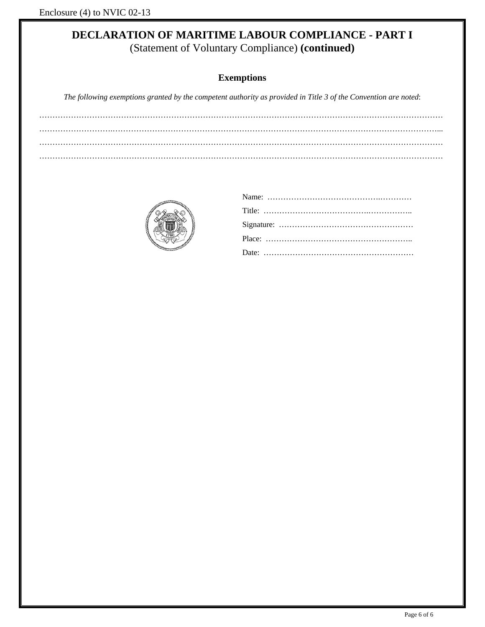## **Exemptions**

*The following exemptions granted by the competent authority as provided in Title 3 of the Convention are noted*:

……………………….……………………………………………………………………………………………………………... ………………………………………………………………………………………………………………………………………

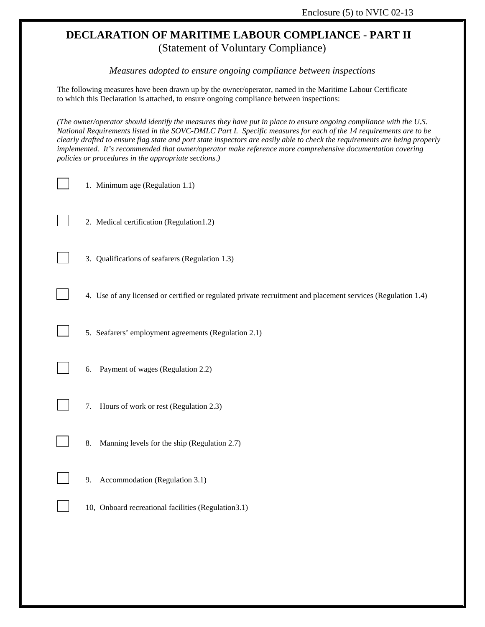*Measures adopted to ensure ongoing compliance between inspections* 

The following measures have been drawn up by the owner/operator, named in the Maritime Labour Certificate to which this Declaration is attached, to ensure ongoing compliance between inspections:

*(The owner/operator should identify the measures they have put in place to ensure ongoing compliance with the U.S. National Requirements listed in the SOVC-DMLC Part I. Specific measures for each of the 14 requirements are to be clearly drafted to ensure flag state and port state inspectors are easily able to check the requirements are being properly implemented. It's recommended that owner/operator make reference more comprehensive documentation covering policies or procedures in the appropriate sections.)* 

1. Minimum age (Regulation 1.1)

2. Medical certification (Regulation1.2)

3. Qualifications of seafarers (Regulation 1.3)

4. Use of any licensed or certified or regulated private recruitment and placement services (Regulation 1.4)

5. Seafarers' employment agreements (Regulation 2.1)

- 6. Payment of wages (Regulation 2.2)
- 7. Hours of work or rest (Regulation 2.3)
- 8. Manning levels for the ship (Regulation 2.7)
- 9. Accommodation (Regulation 3.1)
- 10, Onboard recreational facilities (Regulation3.1)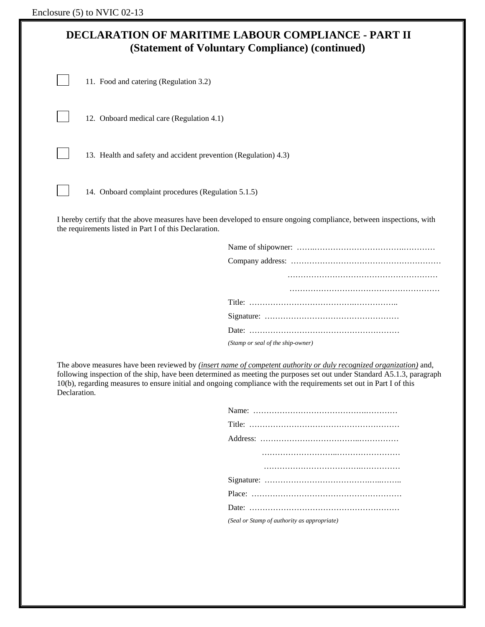12. Onboard medical care (Regulation 4.1)

13. Health and safety and accident prevention (Regulation) 4.3)

14. Onboard complaint procedures (Regulation 5.1.5)

I hereby certify that the above measures have been developed to ensure ongoing compliance, between inspections, with the requirements listed in Part I of this Declaration.

| (Stamp or seal of the ship-owner) |
|-----------------------------------|

The above measures have been reviewed by *(insert name of competent authority or duly recognized organization)* and, following inspection of the ship, have been determined as meeting the purposes set out under Standard A5.1.3, paragraph 10(b), regarding measures to ensure initial and ongoing compliance with the requirements set out in Part I of this Declaration.

| (Seal or Stamp of authority as appropriate) |
|---------------------------------------------|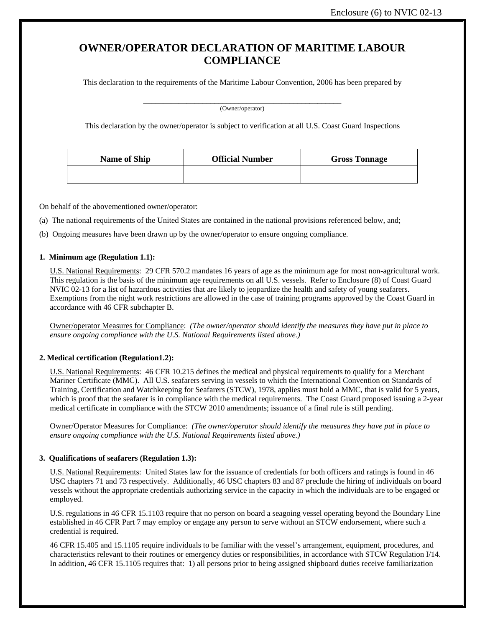# **OWNER/OPERATOR DECLARATION OF MARITIME LABOUR COMPLIANCE**

This declaration to the requirements of the Maritime Labour Convention, 2006 has been prepared by

 $\overline{\phantom{a}}$  (Owner/operator)

This declaration by the owner/operator is subject to verification at all U.S. Coast Guard Inspections

| <b>Name of Ship</b> | <b>Official Number</b> | <b>Gross Tonnage</b> |
|---------------------|------------------------|----------------------|
|                     |                        |                      |

On behalf of the abovementioned owner/operator:

(a) The national requirements of the United States are contained in the national provisions referenced below, and;

(b) Ongoing measures have been drawn up by the owner/operator to ensure ongoing compliance.

#### **1. Minimum age (Regulation 1.1):**

U.S. National Requirements: 29 CFR 570.2 mandates 16 years of age as the minimum age for most non-agricultural work. This regulation is the basis of the minimum age requirements on all U.S. vessels. Refer to Enclosure (8) of Coast Guard NVIC 02-13 for a list of hazardous activities that are likely to jeopardize the health and safety of young seafarers. Exemptions from the night work restrictions are allowed in the case of training programs approved by the Coast Guard in accordance with 46 CFR subchapter B.

Owner/operator Measures for Compliance: *(The owner/operator should identify the measures they have put in place to ensure ongoing compliance with the U.S. National Requirements listed above.)*

#### **2. Medical certification (Regulation1.2):**

U.S. National Requirements: 46 CFR 10.215 defines the medical and physical requirements to qualify for a Merchant Mariner Certificate (MMC). All U.S. seafarers serving in vessels to which the International Convention on Standards of Training, Certification and Watchkeeping for Seafarers (STCW), 1978, applies must hold a MMC, that is valid for 5 years, which is proof that the seafarer is in compliance with the medical requirements. The Coast Guard proposed issuing a 2-year medical certificate in compliance with the STCW 2010 amendments; issuance of a final rule is still pending.

Owner/Operator Measures for Compliance: *(The owner/operator should identify the measures they have put in place to ensure ongoing compliance with the U.S. National Requirements listed above.)*

#### **3. Qualifications of seafarers (Regulation 1.3):**

U.S. National Requirements: United States law for the issuance of credentials for both officers and ratings is found in 46 USC chapters 71 and 73 respectively. Additionally, 46 USC chapters 83 and 87 preclude the hiring of individuals on board vessels without the appropriate credentials authorizing service in the capacity in which the individuals are to be engaged or employed.

U.S. regulations in 46 CFR 15.1103 require that no person on board a seagoing vessel operating beyond the Boundary Line established in 46 CFR Part 7 may employ or engage any person to serve without an STCW endorsement, where such a credential is required.

46 CFR 15.405 and 15.1105 require individuals to be familiar with the vessel's arrangement, equipment, procedures, and characteristics relevant to their routines or emergency duties or responsibilities, in accordance with STCW Regulation I/14. In addition, 46 CFR 15.1105 requires that: 1) all persons prior to being assigned shipboard duties receive familiarization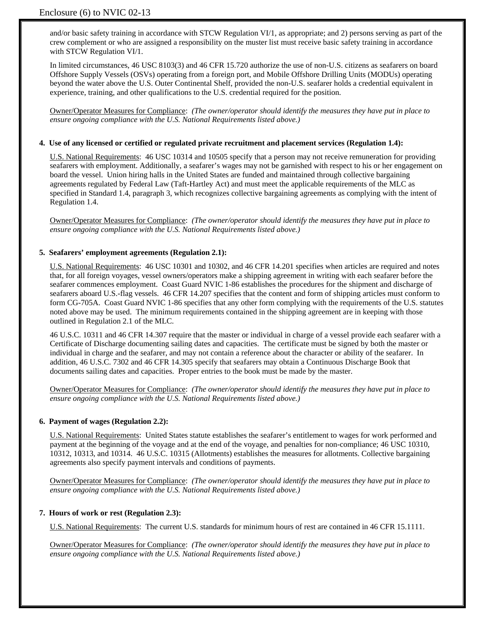and/or basic safety training in accordance with STCW Regulation VI/1, as appropriate; and 2) persons serving as part of the crew complement or who are assigned a responsibility on the muster list must receive basic safety training in accordance with STCW Regulation VI/1.

In limited circumstances, 46 USC 8103(3) and 46 CFR 15.720 authorize the use of non-U.S. citizens as seafarers on board Offshore Supply Vessels (OSVs) operating from a foreign port, and Mobile Offshore Drilling Units (MODUs) operating beyond the water above the U.S. Outer Continental Shelf, provided the non-U.S. seafarer holds a credential equivalent in experience, training, and other qualifications to the U.S. credential required for the position.

Owner/Operator Measures for Compliance: *(The owner/operator should identify the measures they have put in place to ensure ongoing compliance with the U.S. National Requirements listed above.)*

#### **4. Use of any licensed or certified or regulated private recruitment and placement services (Regulation 1.4):**

U.S. National Requirements: 46 USC 10314 and 10505 specify that a person may not receive remuneration for providing seafarers with employment. Additionally, a seafarer's wages may not be garnished with respect to his or her engagement on board the vessel. Union hiring halls in the United States are funded and maintained through collective bargaining agreements regulated by Federal Law (Taft-Hartley Act) and must meet the applicable requirements of the MLC as specified in Standard 1.4, paragraph 3, which recognizes collective bargaining agreements as complying with the intent of Regulation 1.4.

Owner/Operator Measures for Compliance: *(The owner/operator should identify the measures they have put in place to ensure ongoing compliance with the U.S. National Requirements listed above.)*

#### **5. Seafarers' employment agreements (Regulation 2.1):**

U.S. National Requirements: 46 USC 10301 and 10302, and 46 CFR 14.201 specifies when articles are required and notes that, for all foreign voyages, vessel owners/operators make a shipping agreement in writing with each seafarer before the seafarer commences employment. Coast Guard NVIC 1-86 establishes the procedures for the shipment and discharge of seafarers aboard U.S.-flag vessels. 46 CFR 14.207 specifies that the content and form of shipping articles must conform to form CG-705A. Coast Guard NVIC 1-86 specifies that any other form complying with the requirements of the U.S. statutes noted above may be used. The minimum requirements contained in the shipping agreement are in keeping with those outlined in Regulation 2.1 of the MLC.

46 U.S.C. 10311 and 46 CFR 14.307 require that the master or individual in charge of a vessel provide each seafarer with a Certificate of Discharge documenting sailing dates and capacities. The certificate must be signed by both the master or individual in charge and the seafarer, and may not contain a reference about the character or ability of the seafarer. In addition, 46 U.S.C. 7302 and 46 CFR 14.305 specify that seafarers may obtain a Continuous Discharge Book that documents sailing dates and capacities. Proper entries to the book must be made by the master.

Owner/Operator Measures for Compliance: *(The owner/operator should identify the measures they have put in place to ensure ongoing compliance with the U.S. National Requirements listed above.)*

#### **6. Payment of wages (Regulation 2.2):**

U.S. National Requirements: United States statute establishes the seafarer's entitlement to wages for work performed and payment at the beginning of the voyage and at the end of the voyage, and penalties for non-compliance; 46 USC 10310, 10312, 10313, and 10314. 46 U.S.C. 10315 (Allotments) establishes the measures for allotments. Collective bargaining agreements also specify payment intervals and conditions of payments.

Owner/Operator Measures for Compliance: *(The owner/operator should identify the measures they have put in place to ensure ongoing compliance with the U.S. National Requirements listed above.)*

#### **7. Hours of work or rest (Regulation 2.3):**

U.S. National Requirements: The current U.S. standards for minimum hours of rest are contained in 46 CFR 15.1111.

Owner/Operator Measures for Compliance: *(The owner/operator should identify the measures they have put in place to ensure ongoing compliance with the U.S. National Requirements listed above.)*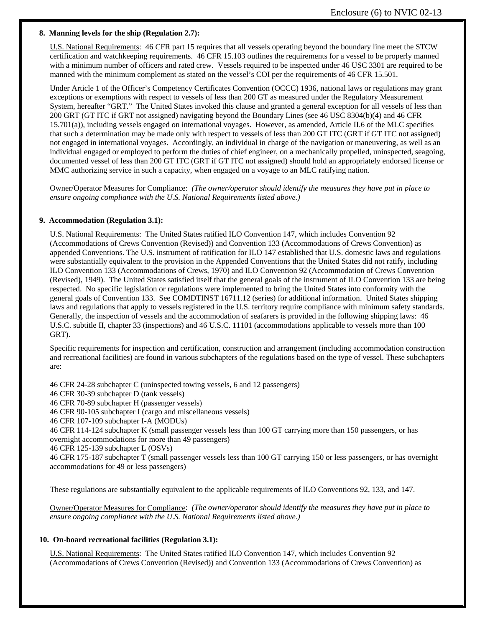#### **8. Manning levels for the ship (Regulation 2.7):**

U.S. National Requirements: 46 CFR part 15 requires that all vessels operating beyond the boundary line meet the STCW certification and watchkeeping requirements. 46 CFR 15.103 outlines the requirements for a vessel to be properly manned with a minimum number of officers and rated crew. Vessels required to be inspected under 46 USC 3301 are required to be manned with the minimum complement as stated on the vessel's COI per the requirements of 46 CFR 15.501.

Under Article 1 of the Officer's Competency Certificates Convention (OCCC) 1936, national laws or regulations may grant exceptions or exemptions with respect to vessels of less than 200 GT as measured under the Regulatory Measurement System, hereafter "GRT." The United States invoked this clause and granted a general exception for all vessels of less than 200 GRT (GT ITC if GRT not assigned) navigating beyond the Boundary Lines (see 46 USC 8304(b)(4) and 46 CFR 15.701(a)), including vessels engaged on international voyages. However, as amended, Article II.6 of the MLC specifies that such a determination may be made only with respect to vessels of less than 200 GT ITC (GRT if GT ITC not assigned) not engaged in international voyages. Accordingly, an individual in charge of the navigation or maneuvering, as well as an individual engaged or employed to perform the duties of chief engineer, on a mechanically propelled, uninspected, seagoing, documented vessel of less than 200 GT ITC (GRT if GT ITC not assigned) should hold an appropriately endorsed license or MMC authorizing service in such a capacity, when engaged on a voyage to an MLC ratifying nation.

Owner/Operator Measures for Compliance: *(The owner/operator should identify the measures they have put in place to ensure ongoing compliance with the U.S. National Requirements listed above.)*

#### **9. Accommodation (Regulation 3.1):**

U.S. National Requirements: The United States ratified ILO Convention 147, which includes Convention 92 (Accommodations of Crews Convention (Revised)) and Convention 133 (Accommodations of Crews Convention) as appended Conventions. The U.S. instrument of ratification for ILO 147 established that U.S. domestic laws and regulations were substantially equivalent to the provision in the Appended Conventions that the United States did not ratify, including ILO Convention 133 (Accommodations of Crews, 1970) and ILO Convention 92 (Accommodation of Crews Convention (Revised), 1949). The United States satisfied itself that the general goals of the instrument of ILO Convention 133 are being respected. No specific legislation or regulations were implemented to bring the United States into conformity with the general goals of Convention 133. See COMDTINST 16711.12 (series) for additional information. United States shipping laws and regulations that apply to vessels registered in the U.S. territory require compliance with minimum safety standards. Generally, the inspection of vessels and the accommodation of seafarers is provided in the following shipping laws: 46 U.S.C. subtitle II, chapter 33 (inspections) and 46 U.S.C. 11101 (accommodations applicable to vessels more than 100 GRT).

Specific requirements for inspection and certification, construction and arrangement (including accommodation construction and recreational facilities) are found in various subchapters of the regulations based on the type of vessel. These subchapters are:

46 CFR 24-28 subchapter C (uninspected towing vessels, 6 and 12 passengers) 46 CFR 30-39 subchapter D (tank vessels) 46 CFR 70-89 subchapter H (passenger vessels) 46 CFR 90-105 subchapter I (cargo and miscellaneous vessels) 46 CFR 107-109 subchapter I-A (MODUs) 46 CFR 114-124 subchapter K (small passenger vessels less than 100 GT carrying more than 150 passengers, or has overnight accommodations for more than 49 passengers) 46 CFR 125-139 subchapter L (OSVs) 46 CFR 175-187 subchapter T (small passenger vessels less than 100 GT carrying 150 or less passengers, or has overnight accommodations for 49 or less passengers)

These regulations are substantially equivalent to the applicable requirements of ILO Conventions 92, 133, and 147.

Owner/Operator Measures for Compliance: *(The owner/operator should identify the measures they have put in place to ensure ongoing compliance with the U.S. National Requirements listed above.)*

#### **10. On-board recreational facilities (Regulation 3.1):**

U.S. National Requirements: The United States ratified ILO Convention 147, which includes Convention 92 (Accommodations of Crews Convention (Revised)) and Convention 133 (Accommodations of Crews Convention) as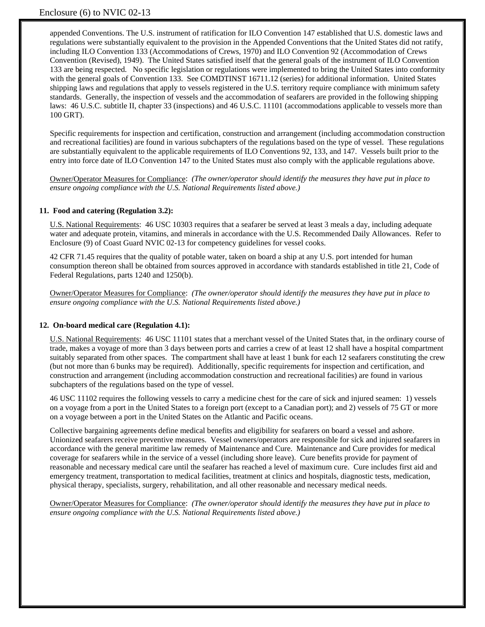appended Conventions. The U.S. instrument of ratification for ILO Convention 147 established that U.S. domestic laws and regulations were substantially equivalent to the provision in the Appended Conventions that the United States did not ratify, including ILO Convention 133 (Accommodations of Crews, 1970) and ILO Convention 92 (Accommodation of Crews Convention (Revised), 1949). The United States satisfied itself that the general goals of the instrument of ILO Convention 133 are being respected. No specific legislation or regulations were implemented to bring the United States into conformity with the general goals of Convention 133. See COMDTINST 16711.12 (series) for additional information. United States shipping laws and regulations that apply to vessels registered in the U.S. territory require compliance with minimum safety standards. Generally, the inspection of vessels and the accommodation of seafarers are provided in the following shipping laws: 46 U.S.C. subtitle II, chapter 33 (inspections) and 46 U.S.C. 11101 (accommodations applicable to vessels more than 100 GRT).

Specific requirements for inspection and certification, construction and arrangement (including accommodation construction and recreational facilities) are found in various subchapters of the regulations based on the type of vessel. These regulations are substantially equivalent to the applicable requirements of ILO Conventions 92, 133, and 147. Vessels built prior to the entry into force date of ILO Convention 147 to the United States must also comply with the applicable regulations above.

Owner/Operator Measures for Compliance: *(The owner/operator should identify the measures they have put in place to ensure ongoing compliance with the U.S. National Requirements listed above.)*

#### **11. Food and catering (Regulation 3.2):**

U.S. National Requirements: 46 USC 10303 requires that a seafarer be served at least 3 meals a day, including adequate water and adequate protein, vitamins, and minerals in accordance with the U.S. Recommended Daily Allowances. Refer to Enclosure (9) of Coast Guard NVIC 02-13 for competency guidelines for vessel cooks.

42 CFR 71.45 requires that the quality of potable water, taken on board a ship at any U.S. port intended for human consumption thereon shall be obtained from sources approved in accordance with standards established in title 21, Code of Federal Regulations, parts 1240 and 1250(b).

Owner/Operator Measures for Compliance: *(The owner/operator should identify the measures they have put in place to ensure ongoing compliance with the U.S. National Requirements listed above.)*

#### **12. On-board medical care (Regulation 4.1):**

U.S. National Requirements: 46 USC 11101 states that a merchant vessel of the United States that, in the ordinary course of trade, makes a voyage of more than 3 days between ports and carries a crew of at least 12 shall have a hospital compartment suitably separated from other spaces. The compartment shall have at least 1 bunk for each 12 seafarers constituting the crew (but not more than 6 bunks may be required). Additionally, specific requirements for inspection and certification, and construction and arrangement (including accommodation construction and recreational facilities) are found in various subchapters of the regulations based on the type of vessel.

46 USC 11102 requires the following vessels to carry a medicine chest for the care of sick and injured seamen: 1) vessels on a voyage from a port in the United States to a foreign port (except to a Canadian port); and 2) vessels of 75 GT or more on a voyage between a port in the United States on the Atlantic and Pacific oceans.

Collective bargaining agreements define medical benefits and eligibility for seafarers on board a vessel and ashore. Unionized seafarers receive preventive measures. Vessel owners/operators are responsible for sick and injured seafarers in accordance with the general maritime law remedy of Maintenance and Cure. Maintenance and Cure provides for medical coverage for seafarers while in the service of a vessel (including shore leave). Cure benefits provide for payment of reasonable and necessary medical care until the seafarer has reached a level of maximum cure. Cure includes first aid and emergency treatment, transportation to medical facilities, treatment at clinics and hospitals, diagnostic tests, medication, physical therapy, specialists, surgery, rehabilitation, and all other reasonable and necessary medical needs.

Owner/Operator Measures for Compliance: *(The owner/operator should identify the measures they have put in place to ensure ongoing compliance with the U.S. National Requirements listed above.)*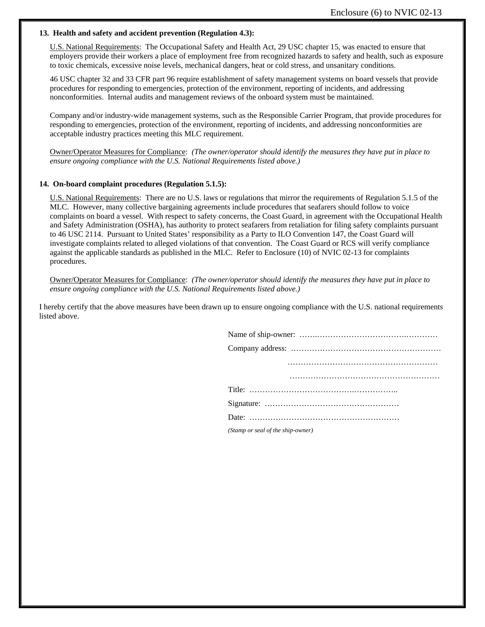#### **13. Health and safety and accident prevention (Regulation 4.3):**

U.S. National Requirements: The Occupational Safety and Health Act, 29 USC chapter 15, was enacted to ensure that employers provide their workers a place of employment free from recognized hazards to safety and health, such as exposure to toxic chemicals, excessive noise levels, mechanical dangers, heat or cold stress, and unsanitary conditions.

46 USC chapter 32 and 33 CFR part 96 require establishment of safety management systems on board vessels that provide procedures for responding to emergencies, protection of the environment, reporting of incidents, and addressing nonconformities. Internal audits and management reviews of the onboard system must be maintained.

Company and/or industry-wide management systems, such as the Responsible Carrier Program, that provide procedures for responding to emergencies, protection of the environment, reporting of incidents, and addressing nonconformities are acceptable industry practices meeting this MLC requirement.

Owner/Operator Measures for Compliance: *(The owner/operator should identify the measures they have put in place to ensure ongoing compliance with the U.S. National Requirements listed above.)*

#### **14. On-board complaint procedures (Regulation 5.1.5):**

U.S. National Requirements: There are no U.S. laws or regulations that mirror the requirements of Regulation 5.1.5 of the MLC. However, many collective bargaining agreements include procedures that seafarers should follow to voice complaints on board a vessel. With respect to safety concerns, the Coast Guard, in agreement with the Occupational Health and Safety Administration (OSHA), has authority to protect seafarers from retaliation for filing safety complaints pursuant to 46 USC 2114. Pursuant to United States' responsibility as a Party to ILO Convention 147, the Coast Guard will investigate complaints related to alleged violations of that convention. The Coast Guard or RCS will verify compliance against the applicable standards as published in the MLC. Refer to Enclosure (10) of NVIC 02-13 for complaints procedures.

Owner/Operator Measures for Compliance: *(The owner/operator should identify the measures they have put in place to ensure ongoing compliance with the U.S. National Requirements listed above.)*

I hereby certify that the above measures have been drawn up to ensure ongoing compliance with the U.S. national requirements listed above.

| (Stamp or seal of the ship-owner) |  |  |  |  |  |  |  |  |  |  |
|-----------------------------------|--|--|--|--|--|--|--|--|--|--|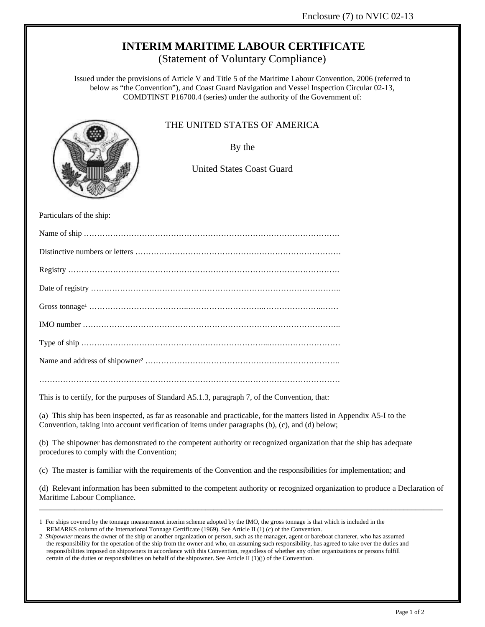# **INTERIM MARITIME LABOUR CERTIFICATE**

(Statement of Voluntary Compliance)

Issued under the provisions of Article V and Title 5 of the Maritime Labour Convention, 2006 (referred to below as "the Convention"), and Coast Guard Navigation and Vessel Inspection Circular 02-13, COMDTINST P16700.4 (series) under the authority of the Government of:



## THE UNITED STATES OF AMERICA

By the

United States Coast Guard

Particulars of the ship:

This is to certify, for the purposes of Standard A5.1.3, paragraph 7, of the Convention, that:

(a) This ship has been inspected, as far as reasonable and practicable, for the matters listed in Appendix A5-I to the Convention, taking into account verification of items under paragraphs (b), (c), and (d) below;

(b) The shipowner has demonstrated to the competent authority or recognized organization that the ship has adequate procedures to comply with the Convention;

(c) The master is familiar with the requirements of the Convention and the responsibilities for implementation; and

(d) Relevant information has been submitted to the competent authority or recognized organization to produce a Declaration of Maritime Labour Compliance. \_\_\_\_\_\_\_\_\_\_\_\_\_\_\_\_\_\_\_\_\_\_\_\_\_\_\_\_\_\_\_\_\_\_\_\_\_\_\_\_\_\_\_\_\_\_\_\_\_\_\_\_\_\_\_\_\_\_\_\_\_\_\_\_\_\_\_\_\_\_\_\_\_\_\_\_\_\_\_\_\_\_\_\_\_\_\_\_\_\_\_\_\_\_\_\_\_\_\_\_\_\_

<sup>1</sup> For ships covered by the tonnage measurement interim scheme adopted by the IMO, the gross tonnage is that which is included in the REMARKS column of the International Tonnage Certificate (1969). See Article II (1) (c) of the Convention.

<sup>2</sup> *Shipowner* means the owner of the ship or another organization or person, such as the manager, agent or bareboat charterer, who has assumed the responsibility for the operation of the ship from the owner and who, on assuming such responsibility, has agreed to take over the duties and responsibilities imposed on shipowners in accordance with this Convention, regardless of whether any other organizations or persons fulfill certain of the duties or responsibilities on behalf of the shipowner. See Article II (1)(j) of the Convention.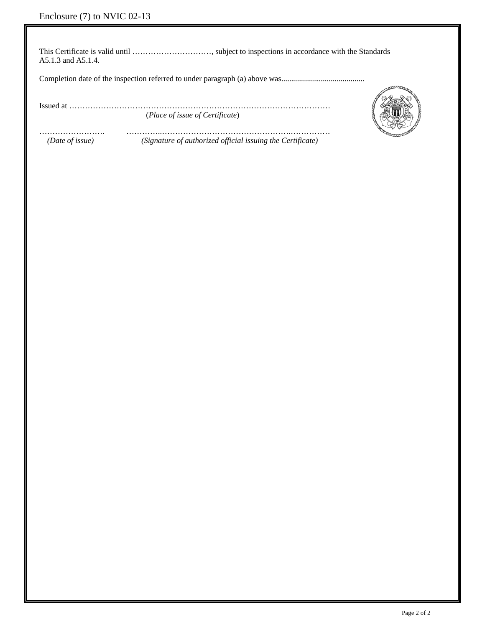This Certificate is valid until …………………………, subject to inspections in accordance with the Standards A5.1.3 and A5.1.4.

Completion date of the inspection referred to under paragraph (a) above was..........................................

Issued at ………………………………………………………………………………………

(*Place of issue of Certificate*)

……………………. …………..………………………………………….……………  *(Date of issue) (Signature of authorized official issuing the Certificate)* 

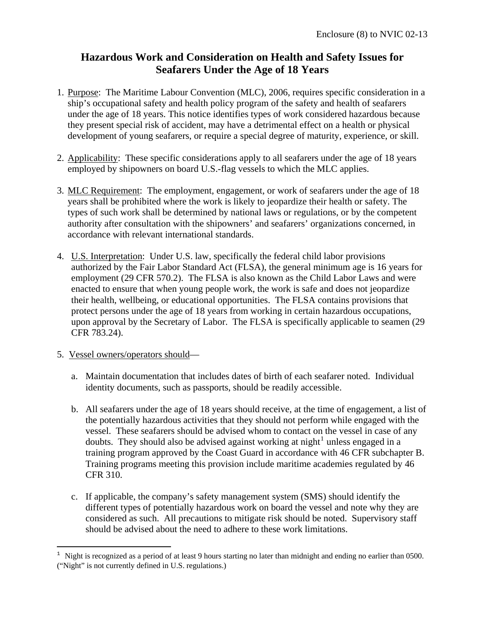# **Hazardous Work and Consideration on Health and Safety Issues for Seafarers Under the Age of 18 Years**

- 1. Purpose: The Maritime Labour Convention (MLC), 2006, requires specific consideration in a ship's occupational safety and health policy program of the safety and health of seafarers under the age of 18 years. This notice identifies types of work considered hazardous because they present special risk of accident, may have a detrimental effect on a health or physical development of young seafarers, or require a special degree of maturity, experience, or skill.
- 2. Applicability: These specific considerations apply to all seafarers under the age of 18 years employed by shipowners on board U.S.-flag vessels to which the MLC applies.
- 3. MLC Requirement: The employment, engagement, or work of seafarers under the age of 18 years shall be prohibited where the work is likely to jeopardize their health or safety. The types of such work shall be determined by national laws or regulations, or by the competent authority after consultation with the shipowners' and seafarers' organizations concerned, in accordance with relevant international standards.
- 4. U.S. Interpretation: Under U.S. law, specifically the federal child labor provisions authorized by the Fair Labor Standard Act (FLSA), the general minimum age is 16 years for employment (29 CFR 570.2). The FLSA is also known as the Child Labor Laws and were enacted to ensure that when young people work, the work is safe and does not jeopardize their health, wellbeing, or educational opportunities. The FLSA contains provisions that protect persons under the age of 18 years from working in certain hazardous occupations, upon approval by the Secretary of Labor. The FLSA is specifically applicable to seamen (29 CFR 783.24).
- 5. Vessel owners/operators should—

1

- a. Maintain documentation that includes dates of birth of each seafarer noted. Individual identity documents, such as passports, should be readily accessible.
- b. All seafarers under the age of 18 years should receive, at the time of engagement, a list of the potentially hazardous activities that they should not perform while engaged with the vessel. These seafarers should be advised whom to contact on the vessel in case of any doubts. They should also be advised against working at night<sup>[1](#page-55-0)</sup> unless engaged in a training program approved by the Coast Guard in accordance with 46 CFR subchapter B. Training programs meeting this provision include maritime academies regulated by 46 CFR 310.
- c. If applicable, the company's safety management system (SMS) should identify the different types of potentially hazardous work on board the vessel and note why they are considered as such. All precautions to mitigate risk should be noted. Supervisory staff should be advised about the need to adhere to these work limitations.

<span id="page-55-0"></span><sup>&</sup>lt;sup>1</sup> Night is recognized as a period of at least 9 hours starting no later than midnight and ending no earlier than 0500. ("Night" is not currently defined in U.S. regulations.)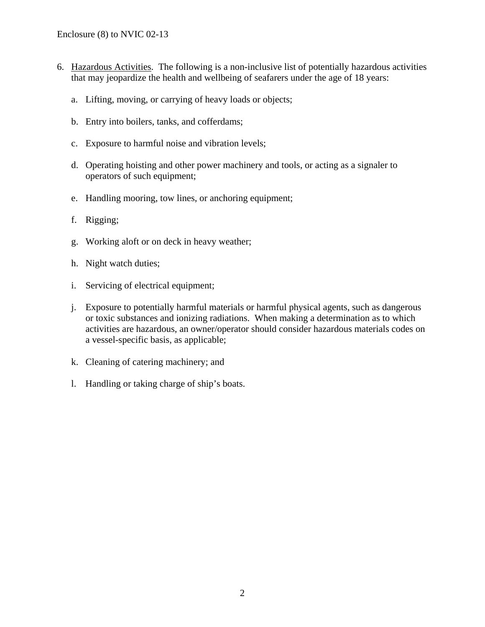- 6. Hazardous Activities. The following is a non-inclusive list of potentially hazardous activities that may jeopardize the health and wellbeing of seafarers under the age of 18 years:
	- a. Lifting, moving, or carrying of heavy loads or objects;
	- b. Entry into boilers, tanks, and cofferdams;
	- c. Exposure to harmful noise and vibration levels;
	- d. Operating hoisting and other power machinery and tools, or acting as a signaler to operators of such equipment;
	- e. Handling mooring, tow lines, or anchoring equipment;
	- f. Rigging;
	- g. Working aloft or on deck in heavy weather;
	- h. Night watch duties;
	- i. Servicing of electrical equipment;
	- j. Exposure to potentially harmful materials or harmful physical agents, such as dangerous or toxic substances and ionizing radiations. When making a determination as to which activities are hazardous, an owner/operator should consider hazardous materials codes on a vessel-specific basis, as applicable;
	- k. Cleaning of catering machinery; and
	- l. Handling or taking charge of ship's boats.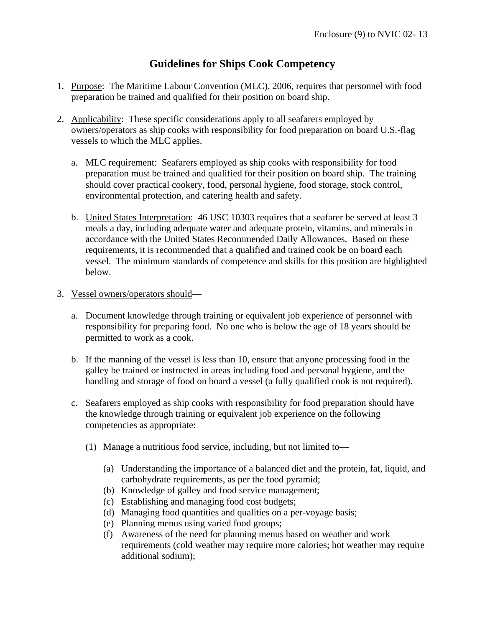# **Guidelines for Ships Cook Competency**

- 1. Purpose: The Maritime Labour Convention (MLC), 2006, requires that personnel with food preparation be trained and qualified for their position on board ship.
- 2. Applicability: These specific considerations apply to all seafarers employed by owners/operators as ship cooks with responsibility for food preparation on board U.S.-flag vessels to which the MLC applies.
	- a. MLC requirement: Seafarers employed as ship cooks with responsibility for food preparation must be trained and qualified for their position on board ship. The training should cover practical cookery, food, personal hygiene, food storage, stock control, environmental protection, and catering health and safety.
	- b. United States Interpretation: 46 USC 10303 requires that a seafarer be served at least 3 meals a day, including adequate water and adequate protein, vitamins, and minerals in accordance with the United States Recommended Daily Allowances. Based on these requirements, it is recommended that a qualified and trained cook be on board each vessel. The minimum standards of competence and skills for this position are highlighted below.
- 3. Vessel owners/operators should
	- a. Document knowledge through training or equivalent job experience of personnel with responsibility for preparing food. No one who is below the age of 18 years should be permitted to work as a cook.
	- b. If the manning of the vessel is less than 10, ensure that anyone processing food in the galley be trained or instructed in areas including food and personal hygiene, and the handling and storage of food on board a vessel (a fully qualified cook is not required).
	- c. Seafarers employed as ship cooks with responsibility for food preparation should have the knowledge through training or equivalent job experience on the following competencies as appropriate:
		- (1) Manage a nutritious food service, including, but not limited to—
			- (a) Understanding the importance of a balanced diet and the protein, fat, liquid, and carbohydrate requirements, as per the food pyramid;
			- (b) Knowledge of galley and food service management;
			- (c) Establishing and managing food cost budgets;
			- (d) Managing food quantities and qualities on a per-voyage basis;
			- (e) Planning menus using varied food groups;
			- (f) Awareness of the need for planning menus based on weather and work requirements (cold weather may require more calories; hot weather may require additional sodium);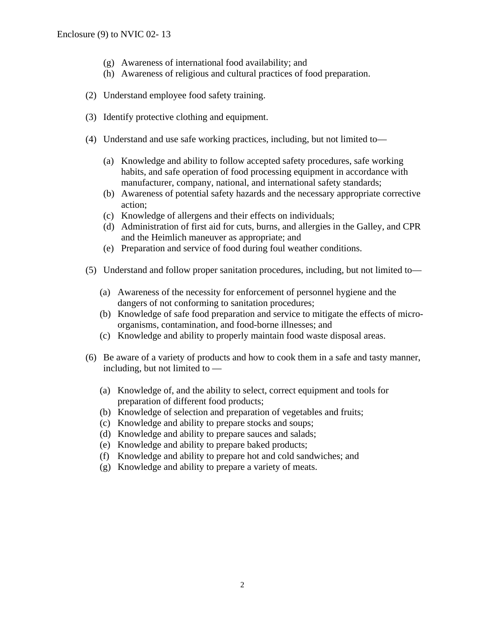- (g) Awareness of international food availability; and
- (h) Awareness of religious and cultural practices of food preparation.
- (2) Understand employee food safety training.
- (3) Identify protective clothing and equipment.
- (4) Understand and use safe working practices, including, but not limited to—
	- (a) Knowledge and ability to follow accepted safety procedures, safe working habits, and safe operation of food processing equipment in accordance with manufacturer, company, national, and international safety standards;
	- (b) Awareness of potential safety hazards and the necessary appropriate corrective action;
	- (c) Knowledge of allergens and their effects on individuals;
	- (d) Administration of first aid for cuts, burns, and allergies in the Galley, and CPR and the Heimlich maneuver as appropriate; and
	- (e) Preparation and service of food during foul weather conditions.
- (5) Understand and follow proper sanitation procedures, including, but not limited to—
	- (a) Awareness of the necessity for enforcement of personnel hygiene and the dangers of not conforming to sanitation procedures;
	- (b) Knowledge of safe food preparation and service to mitigate the effects of microorganisms, contamination, and food-borne illnesses; and
	- (c) Knowledge and ability to properly maintain food waste disposal areas.
- (6) Be aware of a variety of products and how to cook them in a safe and tasty manner, including, but not limited to —
	- (a) Knowledge of, and the ability to select, correct equipment and tools for preparation of different food products;
	- (b) Knowledge of selection and preparation of vegetables and fruits;
	- (c) Knowledge and ability to prepare stocks and soups;
	- (d) Knowledge and ability to prepare sauces and salads;
	- (e) Knowledge and ability to prepare baked products;
	- (f) Knowledge and ability to prepare hot and cold sandwiches; and
	- (g) Knowledge and ability to prepare a variety of meats.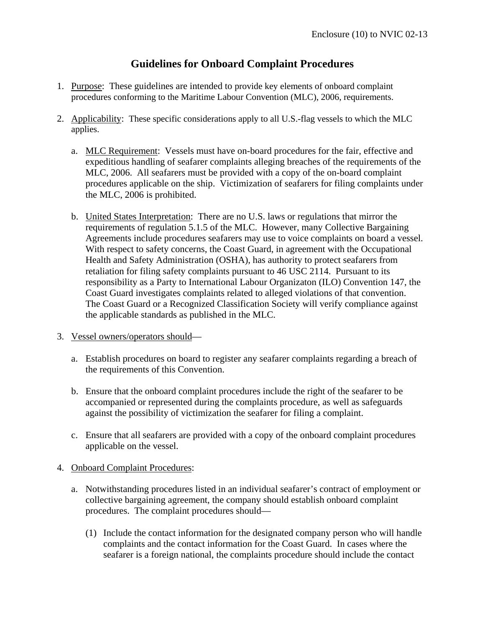# **Guidelines for Onboard Complaint Procedures**

- 1. Purpose: These guidelines are intended to provide key elements of onboard complaint procedures conforming to the Maritime Labour Convention (MLC), 2006, requirements.
- 2. Applicability: These specific considerations apply to all U.S.-flag vessels to which the MLC applies.
	- a. MLC Requirement: Vessels must have on-board procedures for the fair, effective and expeditious handling of seafarer complaints alleging breaches of the requirements of the MLC, 2006. All seafarers must be provided with a copy of the on-board complaint procedures applicable on the ship. Victimization of seafarers for filing complaints under the MLC, 2006 is prohibited.
	- b. United States Interpretation: There are no U.S. laws or regulations that mirror the requirements of regulation 5.1.5 of the MLC. However, many Collective Bargaining Agreements include procedures seafarers may use to voice complaints on board a vessel. With respect to safety concerns, the Coast Guard, in agreement with the Occupational Health and Safety Administration (OSHA), has authority to protect seafarers from retaliation for filing safety complaints pursuant to 46 USC 2114. Pursuant to its responsibility as a Party to International Labour Organizaton (ILO) Convention 147, the Coast Guard investigates complaints related to alleged violations of that convention. The Coast Guard or a Recognized Classification Society will verify compliance against the applicable standards as published in the MLC.
- 3. Vessel owners/operators should
	- a. Establish procedures on board to register any seafarer complaints regarding a breach of the requirements of this Convention.
	- b. Ensure that the onboard complaint procedures include the right of the seafarer to be accompanied or represented during the complaints procedure, as well as safeguards against the possibility of victimization the seafarer for filing a complaint.
	- c. Ensure that all seafarers are provided with a copy of the onboard complaint procedures applicable on the vessel.
- 4. Onboard Complaint Procedures:
	- a. Notwithstanding procedures listed in an individual seafarer's contract of employment or collective bargaining agreement, the company should establish onboard complaint procedures. The complaint procedures should—
		- (1) Include the contact information for the designated company person who will handle complaints and the contact information for the Coast Guard. In cases where the seafarer is a foreign national, the complaints procedure should include the contact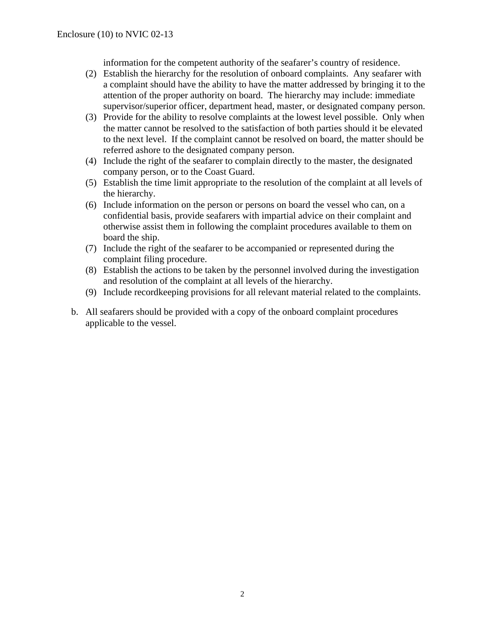information for the competent authority of the seafarer's country of residence.

- (2) Establish the hierarchy for the resolution of onboard complaints. Any seafarer with a complaint should have the ability to have the matter addressed by bringing it to the attention of the proper authority on board. The hierarchy may include: immediate supervisor/superior officer, department head, master, or designated company person.
- (3) Provide for the ability to resolve complaints at the lowest level possible. Only when the matter cannot be resolved to the satisfaction of both parties should it be elevated to the next level. If the complaint cannot be resolved on board, the matter should be referred ashore to the designated company person.
- (4) Include the right of the seafarer to complain directly to the master, the designated company person, or to the Coast Guard.
- (5) Establish the time limit appropriate to the resolution of the complaint at all levels of the hierarchy.
- (6) Include information on the person or persons on board the vessel who can, on a confidential basis, provide seafarers with impartial advice on their complaint and otherwise assist them in following the complaint procedures available to them on board the ship.
- (7) Include the right of the seafarer to be accompanied or represented during the complaint filing procedure.
- (8) Establish the actions to be taken by the personnel involved during the investigation and resolution of the complaint at all levels of the hierarchy.
- (9) Include recordkeeping provisions for all relevant material related to the complaints.
- b. All seafarers should be provided with a copy of the onboard complaint procedures applicable to the vessel.